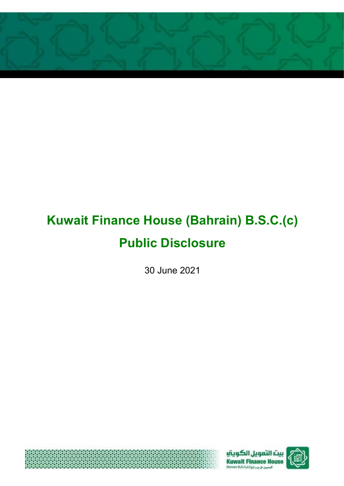

# **Kuwait Finance House (Bahrain) B.S.C.(c) Public Disclosure**

30 June 2021





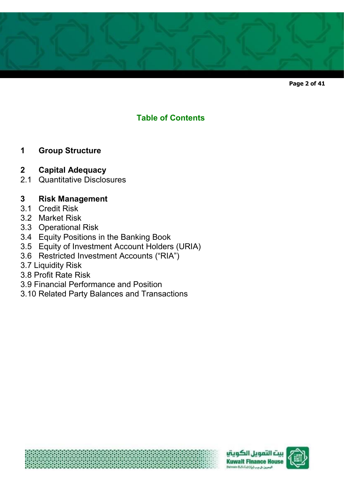

**Page 2 of 41** 

# **Table of Contents**

# **1 Group Structure**

# **2 Capital Adequacy**

2.1 Quantitative Disclosures

# **3 Risk Management**

- 3.1 Credit Risk
- 3.2 Market Risk
- 3.3 Operational Risk
- 3.4 Equity Positions in the Banking Book
- 3.5 Equity of Investment Account Holders (URIA)
- 3.6 Restricted Investment Accounts ("RIA")
- 3.7 Liquidity Risk
- 3.8 Profit Rate Risk
- 3.9 Financial Performance and Position
- 3.10 Related Party Balances and Transactions





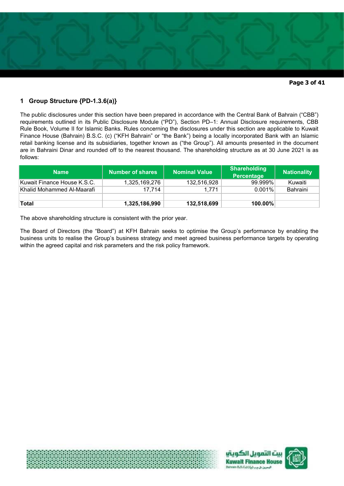

# **1 Group Structure {PD-1.3.6(a)}**

The public disclosures under this section have been prepared in accordance with the Central Bank of Bahrain ("CBB") requirements outlined in its Public Disclosure Module ("PD"), Section PD–1: Annual Disclosure requirements, CBB Rule Book, Volume II for Islamic Banks. Rules concerning the disclosures under this section are applicable to Kuwait Finance House (Bahrain) B.S.C. (c) ("KFH Bahrain" or "the Bank") being a locally incorporated Bank with an Islamic retail banking license and its subsidiaries, together known as ("the Group"). All amounts presented in the document are in Bahraini Dinar and rounded off to the nearest thousand. The shareholding structure as at 30 June 2021 is as follows:

| <b>Name</b>                  | Number of shares | <b>Nominal Value</b> | <b>Shareholding</b><br>Percentage | <b>Nationality</b> |
|------------------------------|------------------|----------------------|-----------------------------------|--------------------|
| Kuwait Finance House K.S.C.  | 1,325,169,276    | 132,516,928          | 99.999%                           | Kuwaiti            |
| ∣Khalid Mohammed Al-Maarafi_ | 17.714           | 1.771                | $0.001\%$                         | Bahraini           |
|                              |                  |                      |                                   |                    |
| Total                        | 1,325,186,990    | 132,518,699          | $100.00\%$                        |                    |

The above shareholding structure is consistent with the prior year.

The Board of Directors (the "Board") at KFH Bahrain seeks to optimise the Group's performance by enabling the business units to realise the Group's business strategy and meet agreed business performance targets by operating within the agreed capital and risk parameters and the risk policy framework.



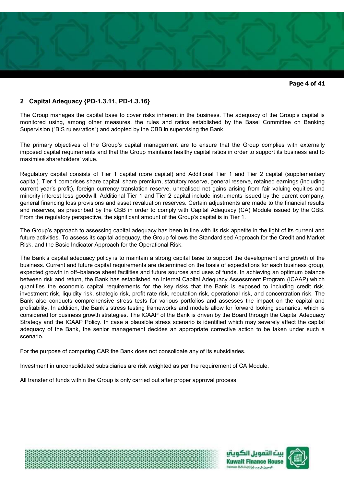

**Page 4 of 41** 

# **2 Capital Adequacy {PD-1.3.11, PD-1.3.16}**

The Group manages the capital base to cover risks inherent in the business. The adequacy of the Group's capital is monitored using, among other measures, the rules and ratios established by the Basel Committee on Banking Supervision ("BIS rules/ratios") and adopted by the CBB in supervising the Bank.

The primary objectives of the Group's capital management are to ensure that the Group complies with externally imposed capital requirements and that the Group maintains healthy capital ratios in order to support its business and to maximise shareholders' value.

Regulatory capital consists of Tier 1 capital (core capital) and Additional Tier 1 and Tier 2 capital (supplementary capital). Tier 1 comprises share capital, share premium, statutory reserve, general reserve, retained earnings (including current year's profit), foreign currency translation reserve, unrealised net gains arising from fair valuing equities and minority interest less goodwill. Additional Tier 1 and Tier 2 capital include instruments issued by the parent company, general financing loss provisions and asset revaluation reserves. Certain adjustments are made to the financial results and reserves, as prescribed by the CBB in order to comply with Capital Adequacy (CA) Module issued by the CBB. From the regulatory perspective, the significant amount of the Group's capital is in Tier 1.

The Group's approach to assessing capital adequacy has been in line with its risk appetite in the light of its current and future activities. To assess its capital adequacy, the Group follows the Standardised Approach for the Credit and Market Risk, and the Basic Indicator Approach for the Operational Risk.

The Bank's capital adequacy policy is to maintain a strong capital base to support the development and growth of the business. Current and future capital requirements are determined on the basis of expectations for each business group, expected growth in off–balance sheet facilities and future sources and uses of funds. In achieving an optimum balance between risk and return, the Bank has established an Internal Capital Adequacy Assessment Program (ICAAP) which quantifies the economic capital requirements for the key risks that the Bank is exposed to including credit risk, investment risk, liquidity risk, strategic risk, profit rate risk, reputation risk, operational risk, and concentration risk. The Bank also conducts comprehensive stress tests for various portfolios and assesses the impact on the capital and profitability. In addition, the Bank's stress testing frameworks and models allow for forward looking scenarios, which is considered for business growth strategies. The ICAAP of the Bank is driven by the Board through the Capital Adequacy Strategy and the ICAAP Policy. In case a plausible stress scenario is identified which may severely affect the capital adequacy of the Bank, the senior management decides an appropriate corrective action to be taken under such a scenario.

For the purpose of computing CAR the Bank does not consolidate any of its subsidiaries.

Investment in unconsolidated subsidiaries are risk weighted as per the requirement of CA Module.

All transfer of funds within the Group is only carried out after proper approval process.





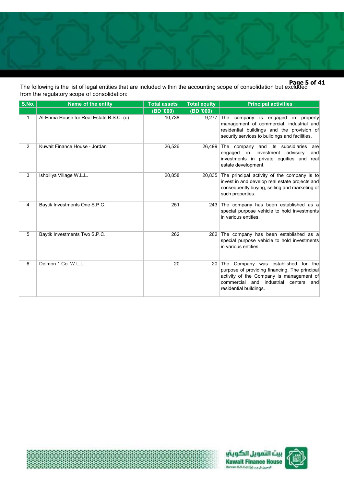

**Page 5 of 41**  The following is the list of legal entities that are included within the accounting scope of consolidation but excluded from the regulatory scope of consolidation:

| S.No.        | Name of the entity                       | <b>Total assets</b> | <b>Total equity</b> | <b>Principal activities</b>                                                                                                                                                                                |
|--------------|------------------------------------------|---------------------|---------------------|------------------------------------------------------------------------------------------------------------------------------------------------------------------------------------------------------------|
|              |                                          | (BD '000)           | (BD '000)           |                                                                                                                                                                                                            |
| $\mathbf{1}$ | Al-Enma House for Real Estate B.S.C. (c) | 10,738              | 9,277               | The company is engaged in property<br>management of commercial, industrial and<br>residential buildings and the provision of<br>security services to buildings and facilities.                             |
| 2            | Kuwait Finance House - Jordan            | 26,526              | 26,499              | The company and its subsidiaries<br>are<br>in<br>investment<br>advisory<br>engaged<br>and<br>investments in private equities and real<br>estate development.                                               |
| 3            | Ishbiliya Village W.L.L.                 | 20,858              | 20,835              | The principal activity of the company is to<br>invest in and develop real estate projects and<br>consequently buying, selling and marketing of<br>such properties.                                         |
| 4            | Baytik Investments One S.P.C.            | 251                 |                     | 243 The company has been established as a<br>special purpose vehicle to hold investments<br>in various entities.                                                                                           |
| 5            | Baytik Investments Two S.P.C.            | 262                 |                     | 262 The company has been established as a<br>special purpose vehicle to hold investments<br>in various entities.                                                                                           |
| 6            | Delmon 1 Co. W.L.L.                      | 20                  | 20                  | Company was established for the<br>∣The<br>purpose of providing financing. The principal<br>activity of the Company is management of<br>commercial and industrial centers<br>and<br>residential buildings. |





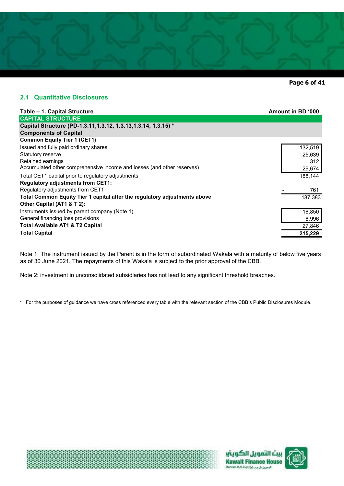

**Page 6 of 41** 

# **2.1 Quantitative Disclosures**

| Table - 1. Capital Structure                                                                    | Amount in BD '000 |
|-------------------------------------------------------------------------------------------------|-------------------|
| <b>CAPITAL STRUCTURE</b>                                                                        |                   |
| Capital Structure (PD-1.3.11, 1.3.12, 1.3.13, 1.3.14, 1.3.15) *<br><b>Components of Capital</b> |                   |
| <b>Common Equity Tier 1 (CET1)</b>                                                              |                   |
| Issued and fully paid ordinary shares                                                           | 132,519           |
| Statutory reserve                                                                               | 25,639            |
| Retained earnings                                                                               | 312               |
| Accumulated other comprehensive income and losses (and other reserves)                          | 29,674            |
| Total CET1 capital prior to regulatory adjustments                                              | 188,144           |
| <b>Regulatory adjustments from CET1:</b>                                                        |                   |
| Regulatory adjustments from CET1                                                                | 761               |
| Total Common Equity Tier 1 capital after the regulatory adjustments above                       | 187,383           |
| Other Capital (AT1 & T 2):                                                                      |                   |
| Instruments issued by parent company (Note 1)                                                   | 18,850            |
| General financing loss provisions                                                               | 8,996             |
| <b>Total Available AT1 &amp; T2 Capital</b>                                                     | 27,846            |
| <b>Total Capital</b>                                                                            | 215,229           |

Note 1: The instrument issued by the Parent is in the form of subordinated Wakala with a maturity of below five years as of 30 June 2021. The repayments of this Wakala is subject to the prior approval of the CBB.

Note 2: investment in unconsolidated subsidiaries has not lead to any significant threshold breaches.

\* For the purposes of guidance we have cross referenced every table with the relevant section of the CBB's Public Disclosures Module.





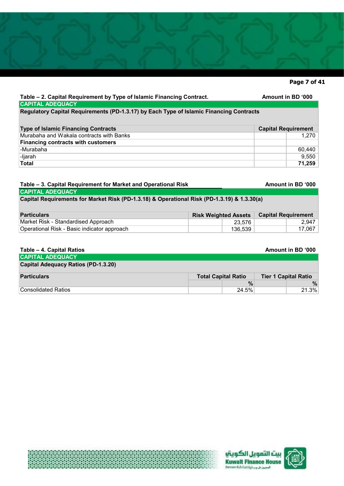# **Page 7 of 41**

1,270

9,550

#### Table – 2. Capital Requirement by Type of Islamic Financing Contract. **Amount in BD** '000 60,440  **71,259** -Ijarah **Total CAPITAL ADEQUACY Regulatory Capital Requirements (PD-1.3.17) by Each Type of Islamic Financing Contracts**  Murabaha and Wakala contracts with Banks **Financing contracts with customers** -Murabaha **Type of Islamic Financing Contracts Capital Requirement <b>Capital Requirement Capital Requirement**

# **Table – 3. Capital Requirement for Market and Operational Risk**

**CAPITAL ADEQUACY**

**Capital Requirements for Market Risk (PD-1.3.18) & Operational Risk (PD-1.3.19) & 1.3.30(a)**

| <b>Particulars</b>                          | <b>Risk Weighted Assets   Capital Requirement</b> |         |        |
|---------------------------------------------|---------------------------------------------------|---------|--------|
| Market Risk - Standardised Approach         |                                                   | 23.576  | 2.947  |
| Operational Risk - Basic indicator approach |                                                   | 136.539 | 17,067 |

| Table - 4. Capital Ratios                  |                            |       | Amount in BD '000           |
|--------------------------------------------|----------------------------|-------|-----------------------------|
| <b>CAPITAL ADEQUACY</b>                    |                            |       |                             |
| <b>Capital Adequacy Ratios (PD-1.3.20)</b> |                            |       |                             |
| <b>Particulars</b>                         | <b>Total Capital Ratio</b> |       | <b>Tier 1 Capital Ratio</b> |
|                                            |                            | $\%$  | $\%$                        |
| Consolidated Ratios                        |                            | 24.5% | 21.3%                       |



**Amount in BD '000**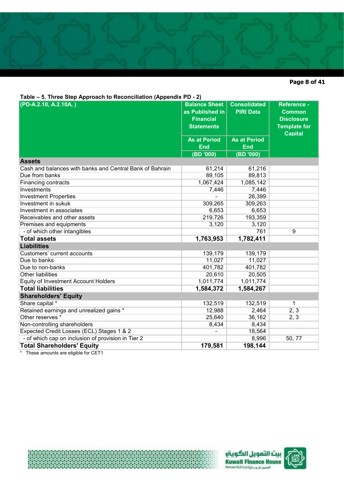# **Page 8 of 41**

**Table – 5. Three Step Approach to Reconciliation (Appendix PD - 2)** 

| $1000 - 0.$ Three Olep Approach to Reconciliation (Appendix TD - 2) |                      | <b>Consolidated</b> |                     |
|---------------------------------------------------------------------|----------------------|---------------------|---------------------|
| (PD-A.2.10, A.2.10A, )                                              | <b>Balance Sheet</b> |                     | <b>Reference -</b>  |
|                                                                     | as Published in      | <b>PIRI Data</b>    | <b>Common</b>       |
|                                                                     | <b>Financial</b>     |                     | <b>Disclosure</b>   |
|                                                                     | <b>Statements</b>    |                     | <b>Template for</b> |
|                                                                     | <b>As at Period</b>  | <b>As at Period</b> | <b>Capital</b>      |
|                                                                     | <b>End</b>           | <b>End</b>          |                     |
|                                                                     | (BD '000)            | (BD '000)           |                     |
| <b>Assets</b>                                                       |                      |                     |                     |
| Cash and balances with banks and Central Bank of Bahrain            | 61,214               | 61,216              |                     |
| Due from banks                                                      | 89,105               | 89,813              |                     |
| <b>Financing contracts</b>                                          | 1,067,424            | 1,085,142           |                     |
| Investments                                                         | 7,446                | 7,446               |                     |
| <b>Investment Properties</b>                                        |                      | 26,399              |                     |
| Investment in sukuk                                                 | 309,265              | 309,263             |                     |
| Investment in associates                                            | 6,653                | 6,653               |                     |
| Receivables and other assets                                        | 219,726              | 193,359             |                     |
| Premises and equipments                                             | 3,120                | 3,120               |                     |
| - of which other intangibles                                        |                      | 761                 | 9                   |
| <b>Total assets</b>                                                 | 1,763,953            | 1,782,411           |                     |
| <b>Liabilities</b>                                                  |                      |                     |                     |
| Customers' current accounts                                         | 139,179              | 139,179             |                     |
| Due to banks                                                        | 11,027               | 11,027              |                     |
| Due to non-banks                                                    | 401,782              | 401,782             |                     |
| <b>Other liabilities</b>                                            | 20,610               | 20,505              |                     |
| <b>Equity of Investment Account Holders</b>                         | 1,011,774            | 1,011,774           |                     |
| <b>Total liabilities</b>                                            | 1,584,372            | 1,584,267           |                     |
| <b>Shareholders' Equity</b>                                         |                      |                     |                     |
| Share capital *                                                     | 132,519              | 132,519             | 1                   |
| Retained earnings and unrealized gains *                            | 12,988               | 2,464               | 2, 3                |
| Other reserves *                                                    | 25,640               | 36,162              | 2, 3                |
| Non-controlling shareholders                                        | 8,434                | 8,434               |                     |
| Expected Credit Losses (ECL) Stages 1 & 2                           |                      | 18,564              |                     |
| - of which cap on inclusion of provision in Tier 2                  |                      | 8,996               | 50, 77              |
| <b>Total Shareholders' Equity</b>                                   | 179,581              | 198,144             |                     |

\* These amounts are eligible for CET1





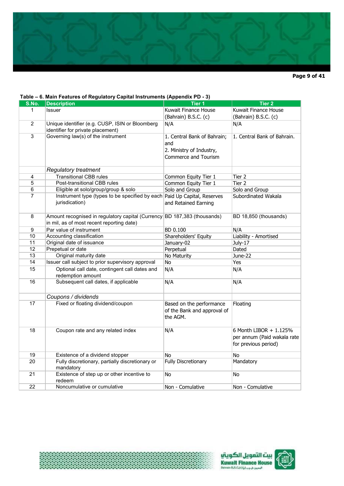

**Page 9 of 41** 

#### **Table – 6. Main Features of Regulatory Capital Instruments (Appendix PD - 3) S.No. Description Tier 1 Tier 2** 1 Issuer Kuwait Finance House (Bahrain) B.S.C. (c) Kuwait Finance House (Bahrain) B.S.C. (c) 2 Unique identifier (e.g. CUSP, ISIN or Bloomberg identifier for private placement) N/A N/A 3 Governing law(s) of the instrument 1. Central Bank of Bahrain; and 2. Ministry of Industry, Commerce and Tourism 1. Central Bank of Bahrain. *Regulatory treatment* 4 Transitional CBB rules Common Equity Tier 1 Tier 2 5 Post-transitional CBB rules Common Equity Tier 1 Tier 2 6 Eligible at solo/group/group & solo Solo and Group Solo and Group 7 Instrument type (types to be specified by each jurisdication) Paid Up Capital, Reserves and Retained Earning Subordinated Wakala 8 |Amount recognised in regulatory capital (Currency BD 187,383 (thousands) |BD 18,850 (thousands) in mil, as of most recent reporting date) 9 Par value of instrument BD 0.100 N/A 10 Accounting classification Shareholders' Equity Liability - Amortised 11 Original date of issuance January-02 July-17 12 Prepetual or date **Perpetual Perpetual** Dated 13 Original maturity date No Maturity No Maturity 10 June-22 14 Issuer call subject to prior supervisory approval No International Yes 15 Optional call date, contingent call dates and redemption amount N/A N/A 16 Subsequent call dates, if applicable N/A N/A N/A *Coupons / dividends*  17 **Fixed or floating dividend/coupon** Based on the performance of the Bank and approval of the AGM. Floating 18 Coupon rate and any related index N/A 6 Month LIBOR + 1.125% per annum (Paid wakala rate for previous period) 19 Existence of a dividend stopper No No No No No 20 Fully discretionary, partially discretionary or mandatory Fully Discretionary Mandatory 21 Existence of step up or other incentive to redeem No No 22 Noncumulative or cumulative Non - Comulative Non - Comulative Non - Comulative



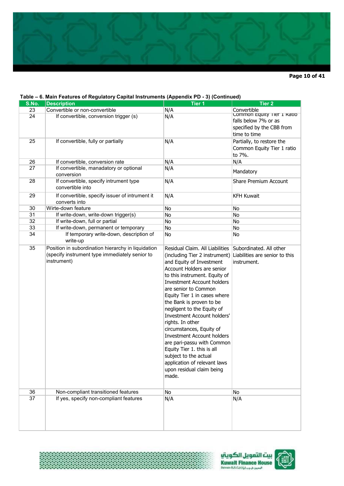

**Page 10 of 41** 

#### **Table – 6. Main Features of Regulatory Capital Instruments (Appendix PD - 3) (Continued)**

| S.No. | $\sim$ . $\sim$ . $\sim$ . $\sim$ . $\sim$ . $\sim$ . $\sim$ . $\sim$ . $\sim$ . $\sim$ . $\sim$ . $\sim$ . $\sim$ . $\sim$ . $\sim$ . $\sim$ . $\sim$ . $\sim$ . $\sim$ . $\sim$ . $\sim$ . $\sim$ . $\sim$ . $\sim$ . $\sim$ . $\sim$ . $\sim$ . $\sim$ . $\sim$ . $\sim$ . $\sim$ . $\sim$<br><b>Description</b> | <b>Tier 1</b>                                                                                                                                                                                                                                                                                                                                                                                                                                                                                                                                                                                            | <b>Tier 2</b>                                                                                                  |
|-------|---------------------------------------------------------------------------------------------------------------------------------------------------------------------------------------------------------------------------------------------------------------------------------------------------------------------|----------------------------------------------------------------------------------------------------------------------------------------------------------------------------------------------------------------------------------------------------------------------------------------------------------------------------------------------------------------------------------------------------------------------------------------------------------------------------------------------------------------------------------------------------------------------------------------------------------|----------------------------------------------------------------------------------------------------------------|
| 23    | Convertible or non-convertible                                                                                                                                                                                                                                                                                      | N/A                                                                                                                                                                                                                                                                                                                                                                                                                                                                                                                                                                                                      |                                                                                                                |
| 24    | If convertible, conversion trigger (s)                                                                                                                                                                                                                                                                              | N/A                                                                                                                                                                                                                                                                                                                                                                                                                                                                                                                                                                                                      | Convertible<br>Common Equity Tier 1 Ratio<br>falls below 7% or as<br>specified by the CBB from<br>time to time |
| 25    | If convertible, fully or partially                                                                                                                                                                                                                                                                                  | N/A                                                                                                                                                                                                                                                                                                                                                                                                                                                                                                                                                                                                      | Partially, to restore the<br>Common Equity Tier 1 ratio<br>to 7%.                                              |
| 26    | If convertible, conversion rate                                                                                                                                                                                                                                                                                     | N/A                                                                                                                                                                                                                                                                                                                                                                                                                                                                                                                                                                                                      | N/A                                                                                                            |
| 27    | If convertible, manadatory or optional<br>conversion                                                                                                                                                                                                                                                                | N/A                                                                                                                                                                                                                                                                                                                                                                                                                                                                                                                                                                                                      | Mandatory                                                                                                      |
| 28    | If convertible, specify intrument type<br>convertible into                                                                                                                                                                                                                                                          | N/A                                                                                                                                                                                                                                                                                                                                                                                                                                                                                                                                                                                                      | <b>Share Premium Account</b>                                                                                   |
| 29    | If convertible, specify issuer of intrument it<br>converts into                                                                                                                                                                                                                                                     | N/A                                                                                                                                                                                                                                                                                                                                                                                                                                                                                                                                                                                                      | <b>KFH Kuwait</b>                                                                                              |
| 30    | Wirte-down feature                                                                                                                                                                                                                                                                                                  | No                                                                                                                                                                                                                                                                                                                                                                                                                                                                                                                                                                                                       | No                                                                                                             |
| 31    | If write-down, write-down trigger(s)                                                                                                                                                                                                                                                                                | No                                                                                                                                                                                                                                                                                                                                                                                                                                                                                                                                                                                                       | No                                                                                                             |
| 32    | If write-down, full or partial                                                                                                                                                                                                                                                                                      | No                                                                                                                                                                                                                                                                                                                                                                                                                                                                                                                                                                                                       | No                                                                                                             |
| 33    | If write-down, permanent or temporary                                                                                                                                                                                                                                                                               | No                                                                                                                                                                                                                                                                                                                                                                                                                                                                                                                                                                                                       | No                                                                                                             |
| 34    | If temporary write-down, description of<br>write-up                                                                                                                                                                                                                                                                 | No                                                                                                                                                                                                                                                                                                                                                                                                                                                                                                                                                                                                       | No                                                                                                             |
| 35    | Position in subordination hierarchy in liquidation<br>(specify instrument type immediately senior to<br>instrument)                                                                                                                                                                                                 | Residual Claim. All Liabilities<br>(including Tier 2 instrument)<br>and Equity of Investment<br>Account Holders are senior<br>to this instrument. Equity of<br><b>Investment Account holders</b><br>are senior to Common<br>Equity Tier 1 in cases where<br>the Bank is proven to be<br>negligent to the Equity of<br><b>Investment Account holders'</b><br>rights. In other<br>circumstances, Equity of<br><b>Investment Account holders</b><br>are pari-passu with Common<br>Equity Tier 1. this is all<br>subiect to the actual<br>application of relevant laws<br>upon residual claim being<br>made. | Subordinated. All other<br>Liabilities are senior to this<br>instrument.                                       |
| 36    | Non-compliant transitioned features                                                                                                                                                                                                                                                                                 | No                                                                                                                                                                                                                                                                                                                                                                                                                                                                                                                                                                                                       | No                                                                                                             |
| 37    | If yes, specify non-compliant features                                                                                                                                                                                                                                                                              | N/A                                                                                                                                                                                                                                                                                                                                                                                                                                                                                                                                                                                                      | N/A                                                                                                            |

\*\*\*\*\*\*\*\*\*\*\*\*\*\*\*\*\*\*\*\*\*\*\*\*\*\*\*\*\*



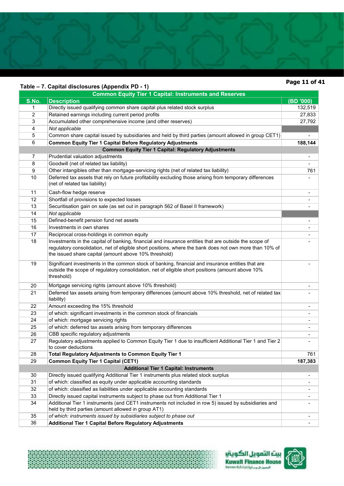# **Table – 7. Capital disclosures (Appendix PD - 1)**

≹

# **Page 11 of 41**

|                | $1$ able – $1.$ Capital disclosures (Appellul $\lambda$ FD - T)<br><b>Common Equity Tier 1 Capital: Instruments and Reserves</b>                                                                                                                                          |                          |
|----------------|---------------------------------------------------------------------------------------------------------------------------------------------------------------------------------------------------------------------------------------------------------------------------|--------------------------|
| S.No.          | <b>Description</b>                                                                                                                                                                                                                                                        | (BD'000)                 |
| 1              | Directly issued qualifying common share capital plus related stock surplus                                                                                                                                                                                                | 132,519                  |
| $\overline{2}$ | Retained earnings including current period profits                                                                                                                                                                                                                        | 27,833                   |
| 3              | Accumulated other comprehensive income (and other reserves)                                                                                                                                                                                                               | 27,792                   |
| 4              | Not applicable                                                                                                                                                                                                                                                            |                          |
| 5              | Common share capital issued by subsidiaries and held by third parties (amount allowed in group CET1)                                                                                                                                                                      |                          |
| 6              | <b>Common Equity Tier 1 Capital Before Regulatory Adjustments</b>                                                                                                                                                                                                         | 188,144                  |
|                | <b>Common Equity Tier 1 Capital: Regulatory Adjustments</b>                                                                                                                                                                                                               |                          |
| 7              | Prudential valuation adjustments                                                                                                                                                                                                                                          |                          |
| 8              | Goodwill (net of related tax liability)                                                                                                                                                                                                                                   |                          |
| 9              | Other intangibles other than mortgage-servicing rights (net of related tax liability)                                                                                                                                                                                     | 761                      |
| 10             | Deferred tax assets that rely on future profitability excluding those arising from temporary differences<br>(net of related tax liability)                                                                                                                                |                          |
| 11             | Cash-flow hedge reserve                                                                                                                                                                                                                                                   | $\overline{\phantom{a}}$ |
| 12             | Shortfall of provisions to expected losses                                                                                                                                                                                                                                |                          |
| 13             | Securitisation gain on sale (as set out in paragraph 562 of Basel II framework)                                                                                                                                                                                           |                          |
| 14             | Not applicable                                                                                                                                                                                                                                                            |                          |
| 15             | Defined-benefit pension fund net assets                                                                                                                                                                                                                                   | $\blacksquare$           |
| 16             | Investments in own shares                                                                                                                                                                                                                                                 |                          |
| 17             | Reciprocal cross-holdings in common equity                                                                                                                                                                                                                                |                          |
| 18             | Investments in the capital of banking, financial and insurance entities that are outside the scope of<br>regulatory consolidation, net of eligible short positions, where the bank does not own more than 10% of<br>the issued share capital (amount above 10% threshold) |                          |
| 19             | Significant investments in the common stock of banking, financial and insurance entities that are<br>outside the scope of regulatory consolidation, net of eligible short positions (amount above 10%<br>threshold)                                                       |                          |
| 20             | Mortgage servicing rights (amount above 10% threshold)                                                                                                                                                                                                                    |                          |
| 21             | Deferred tax assets arising from temporary differences (amount above 10% threshold, net of related tax<br>liability)                                                                                                                                                      |                          |
| 22             | Amount exceeding the 15% threshold                                                                                                                                                                                                                                        |                          |
| 23             | of which: significant investments in the common stock of financials                                                                                                                                                                                                       |                          |
| 24             | of which: mortgage servicing rights                                                                                                                                                                                                                                       |                          |
| 25             | of which: deferred tax assets arising from temporary differences                                                                                                                                                                                                          | $\blacksquare$           |
| 26             | CBB specific regulatory adjustments                                                                                                                                                                                                                                       |                          |
| 27             | Regulatory adjustments applied to Common Equity Tier 1 due to insufficient Additional Tier 1 and Tier 2<br>to cover deductions                                                                                                                                            |                          |
| 28             | Total Regulatory Adjustments to Common Equity Tier 1                                                                                                                                                                                                                      | 761                      |
| 29             | <b>Common Equity Tier 1 Capital (CET1)</b>                                                                                                                                                                                                                                | 187,383                  |
|                | <b>Additional Tier 1 Capital: Instruments</b>                                                                                                                                                                                                                             |                          |
| 30             | Directly issued qualifying Additional Tier 1 instruments plus related stock surplus                                                                                                                                                                                       | $\overline{\phantom{a}}$ |
| 31             | of which: classified as equity under applicable accounting standards                                                                                                                                                                                                      |                          |
| 32             | of which: classified as liabilities under applicable accounting standards                                                                                                                                                                                                 | $\blacksquare$           |
| 33             | Directly issued capital instruments subject to phase out from Additional Tier 1                                                                                                                                                                                           | $\blacksquare$           |
| 34             | Additional Tier 1 instruments (and CET1 instruments not included in row 5) issued by subsidiaries and<br>held by third parties (amount allowed in group AT1)                                                                                                              |                          |
| 35             | of which: instruments issued by subsidiaries subject to phase out                                                                                                                                                                                                         |                          |
| 36             | <b>Additional Tier 1 Capital Before Regulatory Adjustments</b>                                                                                                                                                                                                            |                          |



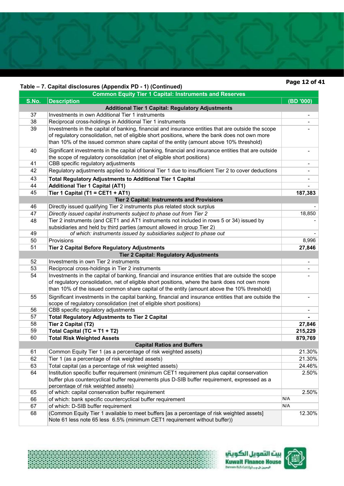# **Table – 7. Capital disclosures (Appendix PD - 1) (Continued)**

骏

# **Page 12 of 41**

|       | Table – 7. Capital disclosures (Appendix PD - 1) (Continued)                                          |                              |
|-------|-------------------------------------------------------------------------------------------------------|------------------------------|
|       | <b>Common Equity Tier 1 Capital: Instruments and Reserves</b>                                         |                              |
| S.No. | <b>Description</b>                                                                                    | (BD '000)                    |
|       | <b>Additional Tier 1 Capital: Regulatory Adjustments</b>                                              |                              |
| 37    | Investments in own Additional Tier 1 instruments                                                      | $\qquad \qquad \blacksquare$ |
| 38    | Reciprocal cross-holdings in Additional Tier 1 instruments                                            | -                            |
| 39    | Investments in the capital of banking, financial and insurance entities that are outside the scope    |                              |
|       | of regulatory consolidation, net of eligible short positions, where the bank does not own more        |                              |
|       | than 10% of the issued common share capital of the entity (amount above 10% threshold)                |                              |
| 40    | Significant investments in the capital of banking, financial and insurance entities that are outside  |                              |
|       | the scope of regulatory consolidation (net of eligible short positions)                               |                              |
| 41    | CBB specific regulatory adjustments                                                                   | -                            |
| 42    | Regulatory adjustments applied to Additional Tier 1 due to insufficient Tier 2 to cover deductions    |                              |
| 43    | <b>Total Regulatory Adjustments to Additional Tier 1 Capital</b>                                      |                              |
| 44    | <b>Additional Tier 1 Capital (AT1)</b>                                                                |                              |
| 45    | Tier 1 Capital (T1 = CET1 + AT1)                                                                      | 187,383                      |
|       | <b>Tier 2 Capital: Instruments and Provisions</b>                                                     |                              |
| 46    | Directly issued qualifying Tier 2 instruments plus related stock surplus                              |                              |
| 47    | Directly issued capital instruments subject to phase out from Tier 2                                  | 18,850                       |
| 48    | Tier 2 instruments (and CET1 and AT1 instruments not included in rows 5 or 34) issued by              |                              |
|       | subsidiaries and held by third parties (amount allowed in group Tier 2)                               |                              |
| 49    | of which: instruments issued by subsidiaries subject to phase out                                     |                              |
| 50    | Provisions                                                                                            | 8,996                        |
| 51    | <b>Tier 2 Capital Before Regulatory Adjustments</b>                                                   | 27,846                       |
|       | <b>Tier 2 Capital: Regulatory Adjustments</b>                                                         |                              |
| 52    | Investments in own Tier 2 instruments                                                                 |                              |
| 53    | Reciprocal cross-holdings in Tier 2 instruments                                                       |                              |
| 54    | Investments in the capital of banking, financial and insurance entities that are outside the scope    |                              |
|       | of regulatory consolidation, net of eligible short positions, where the bank does not own more        |                              |
|       | than 10% of the issued common share capital of the entity (amount above the 10% threshold)            |                              |
| 55    | Significant investments in the capital banking, financial and insurance entities that are outside the |                              |
|       | scope of regulatory consolidation (net of eligible short positions)                                   |                              |
| 56    | CBB specific regulatory adjustments                                                                   |                              |
| 57    | <b>Total Regulatory Adjustments to Tier 2 Capital</b>                                                 |                              |
| 58    | Tier 2 Capital (T2)                                                                                   | 27,846                       |
| 59    | Total Capital (TC = T1 + T2)                                                                          | 215,229                      |
| 60    | <b>Total Risk Weighted Assets</b>                                                                     | 879,769                      |
|       | <b>Capital Ratios and Buffers</b>                                                                     |                              |
| 61    | Common Equity Tier 1 (as a percentage of risk weighted assets)                                        | 21.30%                       |
| 62    | Tier 1 (as a percentage of risk weighted assets)                                                      | 21.30%                       |
| 63    | Total capital (as a percentage of risk weighted assets)                                               | 24.46%                       |
| 64    | Institution specific buffer requirement (minimum CET1 requirement plus capital conservation           | 2.50%                        |
|       | buffer plus countercyclical buffer requirements plus D-SIB buffer requirement, expressed as a         |                              |
|       | percentage of risk weighted assets)                                                                   |                              |
| 65    | of which: capital conservation buffer requirement                                                     | 2.50%                        |
| 66    | of which: bank specific countercyclical buffer requirement                                            | N/A                          |
| 67    | of which: D-SIB buffer requirement                                                                    | N/A                          |
| 68    | (Common Equity Tier 1 available to meet buffers [as a percentage of risk weighted assets]             | 12.30%                       |
|       | Note 61 less note 65 less 6.5% (minimum CET1 requirement without buffer))                             |                              |



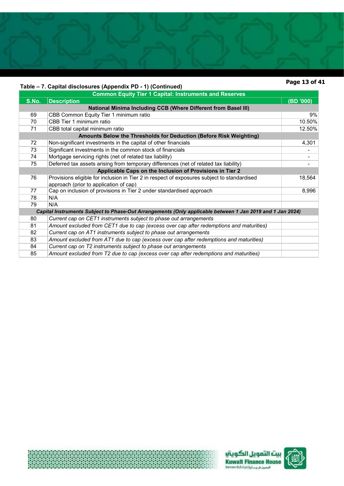# **Table – 7. Capital disclosures (Appendix PD - 1) (Continued)**

# **Page 13 of 41**

|       | Table – 7. Capital disclosures (Appendix PD - 1) (Continued)                                              |           |
|-------|-----------------------------------------------------------------------------------------------------------|-----------|
|       | <b>Common Equity Tier 1 Capital: Instruments and Reserves</b>                                             |           |
| S.No. | <b>Description</b>                                                                                        | (BD '000) |
|       | <b>National Minima Including CCB (Where Different from Basel III)</b>                                     |           |
| 69    | CBB Common Equity Tier 1 minimum ratio                                                                    | 9%        |
| 70    | CBB Tier 1 minimum ratio                                                                                  | 10.50%    |
| 71    | CBB total capital minimum ratio                                                                           | 12.50%    |
|       | Amounts Below the Thresholds for Deduction (Before Risk Weighting)                                        |           |
| 72    | Non-significant investments in the capital of other financials                                            | 4,301     |
| 73    | Significant investments in the common stock of financials                                                 |           |
| 74    | Mortgage servicing rights (net of related tax liability)                                                  | ۰         |
| 75    | Deferred tax assets arising from temporary differences (net of related tax liability)                     |           |
|       | Applicable Caps on the Inclusion of Provisions in Tier 2                                                  |           |
| 76    | Provisions eligible for inclusion in Tier 2 in respect of exposures subject to standardised               | 18,564    |
|       | approach (prior to application of cap)                                                                    |           |
| 77    | Cap on inclusion of provisions in Tier 2 under standardised approach                                      | 8,996     |
| 78    | N/A                                                                                                       |           |
| 79    | N/A                                                                                                       |           |
|       | Capital Instruments Subject to Phase-Out Arrangements (Only applicable between 1 Jan 2019 and 1 Jan 2024) |           |
| 80    | Current cap on CET1 instruments subject to phase out arrangements                                         |           |
| 81    | Amount excluded from CET1 due to cap (excess over cap after redemptions and maturities)                   |           |
| 82    | Current cap on AT1 instruments subject to phase out arrangements                                          |           |
| 83    | Amount excluded from AT1 due to cap (excess over cap after redemptions and maturities)                    |           |
| 84    | Current cap on T2 instruments subject to phase out arrangements                                           |           |
| 85    | Amount excluded from T2 due to cap (excess over cap after redemptions and maturities)                     |           |





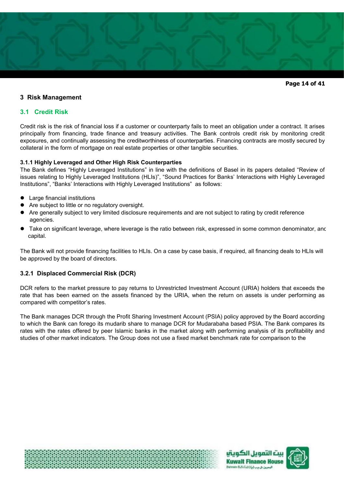

**Page 14 of 41** 

# **3 Risk Management**

# **3.1 Credit Risk**

Credit risk is the risk of financial loss if a customer or counterparty fails to meet an obligation under a contract. It arises principally from financing, trade finance and treasury activities. The Bank controls credit risk by monitoring credit exposures, and continually assessing the creditworthiness of counterparties. Financing contracts are mostly secured by collateral in the form of mortgage on real estate properties or other tangible securities.

# **3.1.1 Highly Leveraged and Other High Risk Counterparties**

The Bank defines "Highly Leveraged Institutions" in line with the definitions of Basel in its papers detailed "Review of issues relating to Highly Leveraged Institutions (HLIs)", "Sound Practices for Banks' Interactions with Highly Leveraged Institutions", "Banks' Interactions with Highly Leveraged Institutions" as follows:

- Large financial institutions
- Are subject to little or no regulatory oversight.
- Are generally subject to very limited disclosure requirements and are not subject to rating by credit reference agencies.
- Take on significant leverage, where leverage is the ratio between risk, expressed in some common denominator, anc capital.

The Bank will not provide financing facilities to HLIs. On a case by case basis, if required, all financing deals to HLIs will be approved by the board of directors.

# **3.2.1 Displaced Commercial Risk (DCR)**

DCR refers to the market pressure to pay returns to Unrestricted Investment Account (URIA) holders that exceeds the rate that has been earned on the assets financed by the URIA, when the return on assets is under performing as compared with competitor's rates.

The Bank manages DCR through the Profit Sharing Investment Account (PSIA) policy approved by the Board according to which the Bank can forego its mudarib share to manage DCR for Mudarabaha based PSIA. The Bank compares its rates with the rates offered by peer Islamic banks in the market along with performing analysis of its profitability and studies of other market indicators. The Group does not use a fixed market benchmark rate for comparison to the





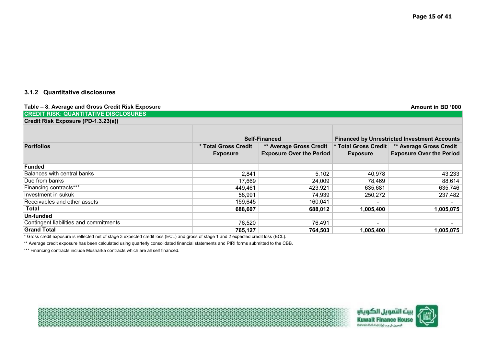# **3.1.2 Quantitative disclosures**

| Table - 8. Average and Gross Credit Risk Exposure                                                                                     |                                         |                                                                   |                                                     | Amount in BD '000                                                 |
|---------------------------------------------------------------------------------------------------------------------------------------|-----------------------------------------|-------------------------------------------------------------------|-----------------------------------------------------|-------------------------------------------------------------------|
| <b>CREDIT RISK: QUANTITATIVE DISCLOSURES</b>                                                                                          |                                         |                                                                   |                                                     |                                                                   |
| Credit Risk Exposure (PD-1.3.23(a))                                                                                                   |                                         |                                                                   |                                                     |                                                                   |
|                                                                                                                                       | Self-Financed                           |                                                                   | <b>Financed by Unrestricted Investment Accounts</b> |                                                                   |
| <b>Portfolios</b>                                                                                                                     | * Total Gross Credit<br><b>Exposure</b> | <b>** Average Gross Credit</b><br><b>Exposure Over the Period</b> | * Total Gross Credit<br><b>Exposure</b>             | <b>** Average Gross Credit</b><br><b>Exposure Over the Period</b> |
| Funded                                                                                                                                |                                         |                                                                   |                                                     |                                                                   |
| Balances with central banks                                                                                                           | 2,841                                   | 5,102                                                             | 40,978                                              | 43,233                                                            |
| Due from banks                                                                                                                        | 17,669                                  | 24,009                                                            | 78,469                                              | 88,614                                                            |
| Financing contracts***                                                                                                                | 449,461                                 | 423,921                                                           | 635,681                                             | 635,746                                                           |
| Investment in sukuk                                                                                                                   | 58,991                                  | 74,939                                                            | 250,272                                             | 237,482                                                           |
| Receivables and other assets                                                                                                          | 159,645                                 | 160,041                                                           | $\overline{\phantom{0}}$                            |                                                                   |
| Total                                                                                                                                 | 688,607                                 | 688.012                                                           | 1,005,400                                           | 1,005,075                                                         |
| Un-funded                                                                                                                             |                                         |                                                                   |                                                     |                                                                   |
| Contingent liabilities and commitments                                                                                                | 76,520                                  | 76,491                                                            | ٠                                                   |                                                                   |
| Grand Total                                                                                                                           | 765,127                                 | 764,503                                                           | 1,005,400                                           | 1,005,075                                                         |
| * Gross credit exposure is reflected net of stage 3 expected credit loss (ECL) and gross of stage 1 and 2 expected credit loss (ECL). |                                         |                                                                   |                                                     |                                                                   |

\*\* Average credit exposure has been calculated using quarterly consolidated financial statements and PIRI forms submitted to the CBB.

\*\*\* Financing contracts include Musharka contracts which are all self financed.

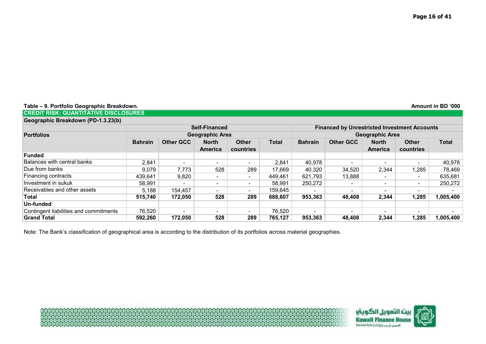| Table - 9. Portfolio Geographic Breakdown. | Amount in BD '000 |
|--------------------------------------------|-------------------|
|--------------------------------------------|-------------------|

**CREDIT RISK: QUANTITATIVE DISCLOSURES**

| Geographic Breakdown (PD-1.3.23(b) |  |
|------------------------------------|--|

|                                        |                |                          | <b>Self-Financed</b>           |                           |              | <b>Financed by Unrestricted Investment Accounts</b> |                  |                                |                           |              |
|----------------------------------------|----------------|--------------------------|--------------------------------|---------------------------|--------------|-----------------------------------------------------|------------------|--------------------------------|---------------------------|--------------|
| <b>Portfolios</b>                      |                |                          | Geographic Area                |                           |              |                                                     |                  | <b>Geographic Area</b>         |                           |              |
|                                        | <b>Bahrain</b> | <b>Other GCC</b>         | <b>North</b><br><b>America</b> | <b>Other</b><br>countries | <b>Total</b> | <b>Bahrain</b>                                      | <b>Other GCC</b> | <b>North</b><br><b>America</b> | <b>Other</b><br>countries | <b>Total</b> |
| Funded                                 |                |                          |                                |                           |              |                                                     |                  |                                |                           |              |
| <b>Balances with central banks</b>     | 2,841          | $\overline{\phantom{0}}$ | $\overline{\phantom{a}}$       | $\blacksquare$            | 2,841        | 40,978                                              |                  |                                | -                         | 40,978       |
| Due from banks                         | 9,079          | 7,773                    | 528                            | 289                       | 17,669       | 40,320                                              | 34,520           | 2,344                          | 1,285                     | 78,469       |
| Financing contracts                    | 439,641        | 9,820                    | -                              | ۰                         | 449,461      | 621,793                                             | 13,888           | -                              | -                         | 635,681      |
| Investment in sukuk                    | 58,991         | -                        | $\overline{\phantom{a}}$       | ۰                         | 58.991       | 250,272                                             |                  | $\overline{\phantom{a}}$       | -                         | 250,272      |
| Receivables and other assets           | 5,188          | 154,457                  | -                              | ۰                         | 159.645      |                                                     | -                |                                |                           |              |
| Total                                  | 515.740        | 172,050                  | 528                            | 289                       | 688.607      | 953,363                                             | 48.408           | 2,344                          | 1,285                     | 1,005,400    |
| Un-funded                              |                |                          |                                |                           |              |                                                     |                  |                                |                           |              |
| Contingent liabilities and commitments | 76,520         | -                        |                                | ۰                         | 76,520       | <b>.</b>                                            |                  | $\overline{\phantom{a}}$       |                           |              |
| <b>Grand Total</b>                     | 592.260        | 172.050                  | 528                            | 289                       | 765.127      | 953.363                                             | 48.408           | 2.344                          | 1.285                     | 1.005.400    |

Note: The Bank's classification of geographical area is according to the distribution of its portfolios across material geographies.

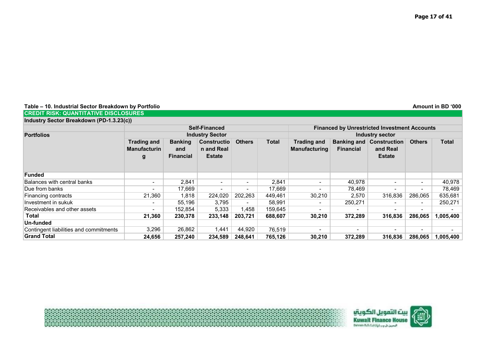**Table – 10. Industrial Sector Breakdown by Portfolio Amount in BD '000**

|  |  |  | <b>I</b> CREDIT RISK: QUANTITATIVE DISCLOSURES |  |  |
|--|--|--|------------------------------------------------|--|--|
|  |  |  |                                                |  |  |

**Industry Sector Breakdown (PD-1.3.23(c))**

|                                        |                                                |                                           | <b>Self-Financed</b>                              |               |         | <b>Financed by Unrestricted Investment Accounts</b> |                  |                                                              |               |              |  |
|----------------------------------------|------------------------------------------------|-------------------------------------------|---------------------------------------------------|---------------|---------|-----------------------------------------------------|------------------|--------------------------------------------------------------|---------------|--------------|--|
| <b>Portfolios</b>                      |                                                |                                           | <b>Industry Sector</b>                            |               |         | <b>Industry sector</b>                              |                  |                                                              |               |              |  |
|                                        | <b>Trading and</b><br><b>Manufacturin</b><br>g | <b>Banking</b><br>and<br><b>Financial</b> | <b>Constructio</b><br>n and Real<br><b>Estate</b> | <b>Others</b> | Total   | <b>Trading and</b><br><b>Manufacturing</b>          | <b>Financial</b> | <b>Banking and Construction</b><br>and Real<br><b>Estate</b> | <b>Others</b> | <b>Total</b> |  |
| <b>Funded</b>                          |                                                |                                           |                                                   |               |         |                                                     |                  |                                                              |               |              |  |
| Balances with central banks            | $\overline{\phantom{0}}$                       | 2,841                                     |                                                   | ۰.            | 2,841   | $\overline{\phantom{a}}$                            | 40,978           | ٠                                                            | ۰.            | 40,978       |  |
| Due from banks                         | Ξ.                                             | 17,669                                    |                                                   | ۰.            | 17,669  |                                                     | 78,469           | $\overline{\phantom{0}}$                                     | ۰.            | 78,469       |  |
| Financing contracts                    | 21,360                                         | 1,818                                     | 224,020                                           | 202,263       | 449,461 | 30,210                                              | 2,570            | 316,836                                                      | 286,065       | 635,681      |  |
| Investment in sukuk                    | $\overline{\phantom{0}}$                       | 55.196                                    | 3.795                                             | $\sim$        | 58,991  |                                                     | 250,271          | $\overline{\phantom{0}}$                                     | $\sim$        | 250,271      |  |
| Receivables and other assets           | ۰.                                             | 152,854                                   | 5,333                                             | 1,458         | 159,645 |                                                     |                  | $\overline{\phantom{0}}$                                     | ۰.            |              |  |
| Total                                  | 21,360                                         | 230,378                                   | 233,148                                           | 203,721       | 688,607 | 30,210                                              | 372,289          | 316,836                                                      | 286,065       | 1,005,400    |  |
| Un-funded                              |                                                |                                           |                                                   |               |         |                                                     |                  |                                                              |               |              |  |
| Contingent liabilities and commitments | 3,296                                          | 26,862                                    | 1,441                                             | 44,920        | 76,519  |                                                     |                  | $\overline{\phantom{0}}$                                     | ۰             |              |  |
| <b>Grand Total</b>                     | 24.656                                         | 257.240                                   | 234.589                                           | 248.641       | 765.126 | 30,210                                              | 372.289          | 316,836                                                      | 286.065       | 1.005.400    |  |

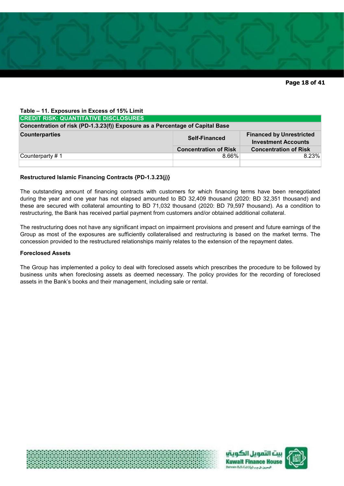

| Table - 11. Exposures in Excess of 15% Limit                                                                   |                              |                              |  |  |  |
|----------------------------------------------------------------------------------------------------------------|------------------------------|------------------------------|--|--|--|
| <b>CREDIT RISK: QUANTITATIVE DISCLOSURES</b>                                                                   |                              |                              |  |  |  |
| Concentration of risk (PD-1.3.23(f)) Exposure as a Percentage of Capital Base                                  |                              |                              |  |  |  |
| <b>Counterparties</b><br><b>Financed by Unrestricted</b><br><b>Self-Financed</b><br><b>Investment Accounts</b> |                              |                              |  |  |  |
|                                                                                                                | <b>Concentration of Risk</b> | <b>Concentration of Risk</b> |  |  |  |
| Counterparty #1                                                                                                | $8.66\%$                     | 8.23%                        |  |  |  |
|                                                                                                                |                              |                              |  |  |  |

### **Restructured Islamic Financing Contracts {PD-1.3.23(j)}**

The outstanding amount of financing contracts with customers for which financing terms have been renegotiated during the year and one year has not elapsed amounted to BD 32,409 thousand (2020: BD 32,351 thousand) and these are secured with collateral amounting to BD 71,032 thousand (2020: BD 79,597 thousand). As a condition to restructuring, the Bank has received partial payment from customers and/or obtained additional collateral.

The restructuring does not have any significant impact on impairment provisions and present and future earnings of the Group as most of the exposures are sufficiently collateralised and restructuring is based on the market terms. The concession provided to the restructured relationships mainly relates to the extension of the repayment dates.

#### **Foreclosed Assets**

The Group has implemented a policy to deal with foreclosed assets which prescribes the procedure to be followed by business units when foreclosing assets as deemed necessary. The policy provides for the recording of foreclosed assets in the Bank's books and their management, including sale or rental.





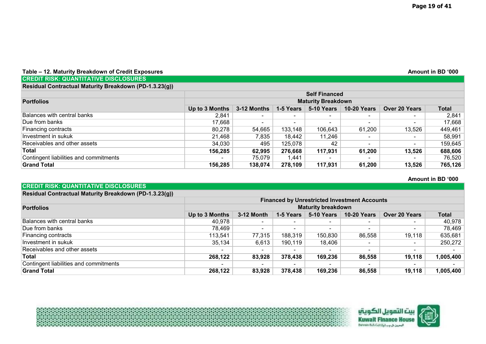#### **Table – 12. Maturity Breakdown of Credit Exposures Amount in BD '000 CREDIT RISK: QUANTITATIVE DISCLOSURES**

**CREDIT RISK: QUANTITATIVE DISCLOSURES**

| Residual Contractual Maturity Breakdown (PD-1.3.23(g)) |                |                      |                          |                           |                    |                          |         |  |
|--------------------------------------------------------|----------------|----------------------|--------------------------|---------------------------|--------------------|--------------------------|---------|--|
|                                                        |                | <b>Self Financed</b> |                          |                           |                    |                          |         |  |
| <b>Portfolios</b>                                      |                |                      |                          | <b>Maturity Breakdown</b> |                    |                          |         |  |
|                                                        | Up to 3 Months | 3-12 Months          | 1-5 Years                | 5-10 Years                | <b>10-20 Years</b> | Over 20 Years            | Total   |  |
| Balances with central banks                            | 2.841          |                      | $\blacksquare$           | $\overline{\phantom{a}}$  |                    | $\overline{\phantom{a}}$ | 2,841   |  |
| Due from banks                                         | 17,668         |                      | $\overline{\phantom{0}}$ | $\overline{\phantom{0}}$  |                    | $\overline{\phantom{0}}$ | 17,668  |  |
| Financing contracts                                    | 80,278         | 54,665               | 133,148                  | 106,643                   | 61,200             | 13,526                   | 449,461 |  |
| Investment in sukuk                                    | 21,468         | 7,835                | 18,442                   | 11,246                    |                    | $\overline{\phantom{a}}$ | 58,991  |  |
| Receivables and other assets                           | 34,030         | 495                  | 125,078                  | 42                        |                    | $\overline{\phantom{a}}$ | 159,645 |  |
| <b>Total</b>                                           | 156,285        | 62,995               | 276,668                  | 117,931                   | 61,200             | 13,526                   | 688,606 |  |
| Contingent liabilities and commitments                 | -              | 75,079               | 1,441                    | $\overline{\phantom{0}}$  |                    | $\overline{\phantom{0}}$ | 76,520  |  |
| <b>Grand Total</b>                                     | 156,285        | 138,074              | 278,109                  | 117,931                   | 61,200             | 13,526                   | 765,126 |  |

**Amount in BD '000** 

# **Up to 3 Months 3-12 Month 1-5 Years 5-10 Years 10-20 Years Over 20 Years Total**  Balances with central banks 40,978 - - - - - 40,978 Due from banks 78,469 | - | - - - 78,469 **Residual Contractual Maturity Breakdown (PD-1.3.23(g)) Financed by Unrestricted Investment Accounts Portfolios Maturity breakdown**

| Financing contracts                    | 113,541                  | 77,315 | 188,319                  | 150,830                  | 86,558                   | 19,118 | 635,681   |
|----------------------------------------|--------------------------|--------|--------------------------|--------------------------|--------------------------|--------|-----------|
| ∣Investment in sukuk                   | 35,134                   | 6.613  | 190.119                  | 18,406                   |                          |        | 250.272   |
| Receivables and other assets           | $\overline{\phantom{0}}$ |        | $\overline{\phantom{0}}$ | $\overline{\phantom{a}}$ | $\overline{\phantom{a}}$ |        |           |
| Total                                  | 268,122                  | 83,928 | 378,438                  | 169,236                  | 86,558                   | 19,118 | 1,005,400 |
| Contingent liabilities and commitments | $\overline{\phantom{0}}$ |        | $\overline{\phantom{a}}$ | $\overline{\phantom{a}}$ | $\overline{\phantom{a}}$ |        |           |
| Grand Total                            | 268,122                  | 83,928 | 378,438                  | 169,236                  | 86,558                   | 19,118 | 1,005,400 |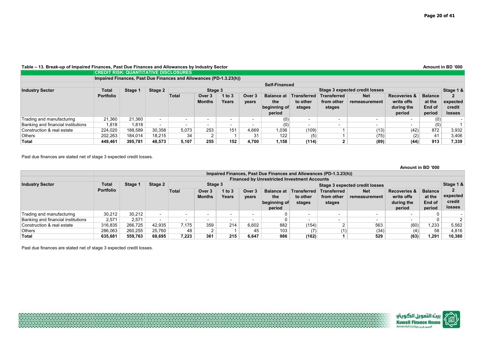#### Table – 13. Break-up of Impaired Finances, Past Due Finances and Allowances by Industry Sector **Amount in BD '000 Amount in BD '000**

|                                    |                  | <b>CREDIT RISK: QUANTITATIVE DISCLOSURES</b>                       |                          |       |                                |            |        |                   |                          |                          |               |                          |                |          |
|------------------------------------|------------------|--------------------------------------------------------------------|--------------------------|-------|--------------------------------|------------|--------|-------------------|--------------------------|--------------------------|---------------|--------------------------|----------------|----------|
|                                    |                  | Impaired Finances, Past Due Finances and Allowances (PD-1.3.23(h)) |                          |       |                                |            |        |                   |                          |                          |               |                          |                |          |
|                                    |                  | Self-Financed                                                      |                          |       |                                |            |        |                   |                          |                          |               |                          |                |          |
| <b>Industry Sector</b>             | Total            | Stage 2<br>Stage 3<br>Stage 1                                      |                          |       | Stage 3 expected credit losses |            |        |                   |                          |                          | Stage 1 &     |                          |                |          |
|                                    | <b>Portfolio</b> |                                                                    |                          | Total | Over 3                         | $1$ to $3$ | Over 3 | <b>Balance at</b> | Transferred              | <b>Transferred</b>       | <b>Net</b>    | <b>Recoveries &amp;</b>  | <b>Balance</b> |          |
|                                    |                  |                                                                    |                          |       | <b>Months</b>                  | Years      | vears  | the               | to other                 | from other               | remeasurement | write offs               | at the         | expected |
|                                    |                  |                                                                    |                          |       |                                |            |        | beginning of      | stages                   | stages                   |               | during the               | End of         | credit   |
|                                    |                  |                                                                    |                          |       |                                |            |        | period            |                          |                          |               | period                   | period         | losses   |
| Trading and manufacturing          | 21.360           | 21.360                                                             | $\overline{\phantom{0}}$ |       |                                |            | $\sim$ | (0)               | $\overline{\phantom{0}}$ | $\overline{\phantom{0}}$ |               | $\overline{\phantom{0}}$ | (0)            |          |
| Banking and financial institutions | 1,818            | 1,818                                                              | $\overline{\phantom{0}}$ |       | $\overline{\phantom{0}}$       | $\sim$     | $\sim$ | (0)               | $\overline{\phantom{0}}$ | $\overline{\phantom{0}}$ | . .           | $\overline{\phantom{0}}$ | (0)            |          |
| Construction & real estate         | 224,020          | 188,589                                                            | 30,358                   | 5.073 | 253                            | 151        | 4,669  | 1,036             | (109)                    |                          | (13)          | (42)                     | 872            | 3,932    |
| <b>Others</b>                      | 202,263          | 184,014                                                            | 18.215                   | 34    |                                |            | 31     | 122               | (5)                      |                          | (75)          | (2)                      | 41             | 3,406    |
| Total                              | 449.461          | 395.781                                                            | 48.573                   | 5.107 | 255                            | 152        | 4.700  | 1.158             | (114)                    |                          | (89)          | (44)                     | 913            | 7.339    |

Past due finances are stated net of stage 3 expected credit losses.

|                                    |                  |         |         |                                                     |                         |                          |                          |                                                    |                                          |                                                                    |                                |                                                               | Amount in BD '000                            |                                     |
|------------------------------------|------------------|---------|---------|-----------------------------------------------------|-------------------------|--------------------------|--------------------------|----------------------------------------------------|------------------------------------------|--------------------------------------------------------------------|--------------------------------|---------------------------------------------------------------|----------------------------------------------|-------------------------------------|
|                                    |                  |         |         |                                                     |                         |                          |                          |                                                    |                                          | Impaired Finances, Past Due Finances and Allowances (PD-1.3.23(h)) |                                |                                                               |                                              |                                     |
|                                    |                  |         |         | <b>Financed by Unrestricted Investment Accounts</b> |                         |                          |                          |                                                    |                                          |                                                                    |                                |                                                               |                                              |                                     |
| <b>Industry Sector</b>             | <b>Total</b>     | Stage 1 | Stage 2 |                                                     | Stage 3                 |                          |                          |                                                    |                                          |                                                                    | Stage 3 expected credit losses |                                                               |                                              | Stage 1 &                           |
|                                    | <b>Portfolio</b> |         |         | Total                                               | Over 3<br><b>Months</b> | 1 to $3$<br>Years        | Over 3<br>years          | <b>Balance at</b><br>the<br>beginning of<br>period | <b>Transferred</b><br>to other<br>stages | <b>Transferred</b><br>from other<br>stages                         | <b>Net</b><br>remeasurement    | <b>Recoveries &amp;</b><br>write offs<br>during the<br>period | <b>Balance</b><br>at the<br>End of<br>period | expected<br>credit<br><b>losses</b> |
| Trading and manufacturing          | 30,212           | 30,212  |         |                                                     | $\sim$                  | $\overline{\phantom{0}}$ | $\overline{\phantom{0}}$ |                                                    | --                                       |                                                                    |                                |                                                               |                                              |                                     |
| Banking and financial institutions | 2,571            | 2.571   | . .     |                                                     | $\sim$                  | $\overline{\phantom{a}}$ | $\overline{\phantom{0}}$ |                                                    | . .                                      | $\overline{\phantom{0}}$                                           | $\sim$                         |                                                               | $\Omega$                                     | $\mathcal{D}$                       |
| Construction & real estate         | 316,835          | 266,725 | 42.935  | 7.175                                               | 359                     | 214                      | 6,602                    | 882                                                | (154)                                    | $\sim$                                                             | 563                            | (60)                                                          | 1,233                                        | 5,562                               |
| <b>Others</b>                      | 286,063          | 260,255 | 25,760  | 48                                                  | $\overline{2}$          |                          | 45                       | 103                                                | (7)                                      | (1)                                                                | (34)                           | (4)                                                           | 58                                           | 4,816                               |
| <b>Total</b>                       | 635.681          | 559.763 | 68.695  | 7.223                                               | 361                     | 215                      | 6.647                    | 986                                                | (162)                                    |                                                                    | 529                            | (63)                                                          | 1.291                                        | 10.380                              |

Past due finances are stated net of stage 3 expected credit losses.

التمويل الكويتيا<br>Kuwait Finance H Bahrain B.S.C.(c)(p) up it issues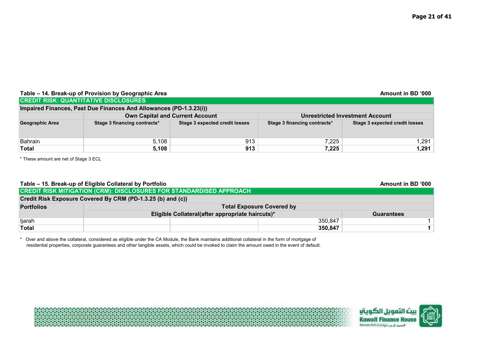| Table – 14. Break-up of Provision by Geographic Area<br>Amount in BD '000 |                                                                    |                                       |                              |                                       |  |  |  |  |  |
|---------------------------------------------------------------------------|--------------------------------------------------------------------|---------------------------------------|------------------------------|---------------------------------------|--|--|--|--|--|
|                                                                           | <b>CREDIT RISK: QUANTITATIVE DISCLOSURES</b>                       |                                       |                              |                                       |  |  |  |  |  |
|                                                                           | Impaired Finances, Past Due Finances And Allowances (PD-1.3.23(i)) |                                       |                              |                                       |  |  |  |  |  |
|                                                                           | <b>Own Capital and Current Account</b>                             |                                       |                              | Unrestricted Investment Account       |  |  |  |  |  |
| Geographic Area                                                           | Stage 3 financing contracts*                                       | <b>Stage 3 expected credit losses</b> | Stage 3 financing contracts* | <b>Stage 3 expected credit losses</b> |  |  |  |  |  |
|                                                                           |                                                                    |                                       |                              |                                       |  |  |  |  |  |
| <b>Bahrain</b>                                                            | 5,108                                                              | 913                                   | 7.225                        | 1,291丨                                |  |  |  |  |  |
| Total                                                                     | 5,108                                                              | 913                                   | 7,225                        | 1,291                                 |  |  |  |  |  |

\* These amount are net of Stage 3 ECL

# Table – 15. Break-up of Eligible Collateral by Portfolio **Amount in BD** '000

|                                                             | <b>CREDIT RISK MITIGATION (CRM): DISCLOSURES FOR STANDARDISED APPROACH</b> |                                                  |         |                   |  |  |  |
|-------------------------------------------------------------|----------------------------------------------------------------------------|--------------------------------------------------|---------|-------------------|--|--|--|
| Credit Risk Exposure Covered By CRM (PD-1.3.25 (b) and (c)) |                                                                            |                                                  |         |                   |  |  |  |
| <b>Portfolios</b>                                           | <b>Total Exposure Covered by</b>                                           |                                                  |         |                   |  |  |  |
|                                                             |                                                                            | Eligible Collateral(after appropriate haircuts)* |         | <b>Guarantees</b> |  |  |  |
| ljarah                                                      |                                                                            |                                                  | 350,847 |                   |  |  |  |
| <b>Total</b>                                                |                                                                            |                                                  | 350,847 |                   |  |  |  |

\* Over and above the collateral, considered as eligible under the CA Module, the Bank maintains additional collateral in the form of mortgage of residential properties, corporate guarantees and other tangible assets, which could be invoked to claim the amount owed in the event of default.





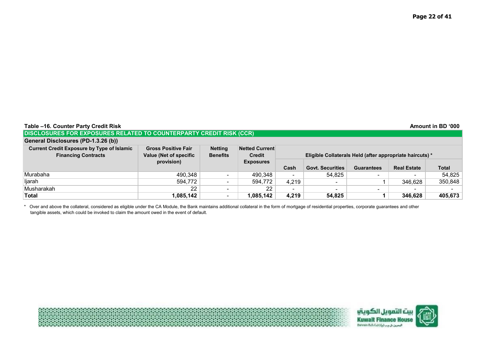| <b>Table</b><br>-16. Counter Party Credit Risk | Amount in BD '000 |
|------------------------------------------------|-------------------|
|------------------------------------------------|-------------------|

# **DISCLOSURES FOR EXPOSURES RELATED TO COUNTERPARTY CREDIT RISK (CCR)**

# **General Disclosures (PD-1.3.26 (b))**

| <b>Current Credit Exposure by Type of Islamic</b> | <b>Gross Positive Fair</b>    | <b>Netting</b>           | <b>Netted Current</b> |                                                          |                         |                   |                    |              |
|---------------------------------------------------|-------------------------------|--------------------------|-----------------------|----------------------------------------------------------|-------------------------|-------------------|--------------------|--------------|
| <b>Financing Contracts</b>                        | <b>Value (Net of specific</b> | <b>Benefits</b>          | <b>Credit</b>         | Eligible Collaterals Held (after appropriate haircuts) * |                         |                   |                    |              |
|                                                   | provision)                    |                          | <b>Exposures</b>      |                                                          |                         |                   |                    |              |
|                                                   |                               |                          |                       | Cash                                                     | <b>Govt. Securities</b> | <b>Guarantees</b> | <b>Real Estate</b> | <b>Total</b> |
| Murabaha                                          | 490,348                       | $\overline{\phantom{a}}$ | 490,348               |                                                          | 54,825                  | $\sim$            | -                  | 54,825       |
| ljarah                                            | 594,772                       |                          | 594.772               | 4,219                                                    |                         |                   | 346,628            | 350,848      |
| Musharakah                                        | 22                            |                          | 22                    | $\overline{\phantom{0}}$                                 |                         | -                 | -                  |              |
| <b>Total</b>                                      | 1,085,142                     | $\overline{\phantom{a}}$ | .085.142              | 4,219                                                    | 54,825                  |                   | 346,628            | 405,673      |

\* Over and above the collateral, considered as eligible under the CA Module, the Bank maintains additional collateral in the form of mortgage of residential properties, corporate guarantees and other tangible assets, which could be invoked to claim the amount owed in the event of default.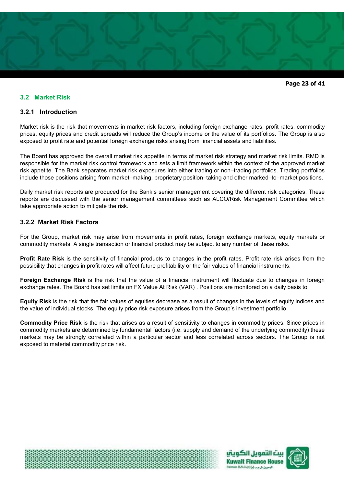

**Page 23 of 41** 

# **3.2 Market Risk**

# **3.2.1 Introduction**

Market risk is the risk that movements in market risk factors, including foreign exchange rates, profit rates, commodity prices, equity prices and credit spreads will reduce the Group's income or the value of its portfolios. The Group is also exposed to profit rate and potential foreign exchange risks arising from financial assets and liabilities.

The Board has approved the overall market risk appetite in terms of market risk strategy and market risk limits. RMD is responsible for the market risk control framework and sets a limit framework within the context of the approved market risk appetite. The Bank separates market risk exposures into either trading or non–trading portfolios. Trading portfolios include those positions arising from market–making, proprietary position–taking and other marked–to–market positions.

Daily market risk reports are produced for the Bank's senior management covering the different risk categories. These reports are discussed with the senior management committees such as ALCO/Risk Management Committee which take appropriate action to mitigate the risk.

# **3.2.2 Market Risk Factors**

For the Group, market risk may arise from movements in profit rates, foreign exchange markets, equity markets or commodity markets. A single transaction or financial product may be subject to any number of these risks.

**Profit Rate Risk** is the sensitivity of financial products to changes in the profit rates. Profit rate risk arises from the possibility that changes in profit rates will affect future profitability or the fair values of financial instruments.

**Foreign Exchange Risk** is the risk that the value of a financial instrument will fluctuate due to changes in foreign exchange rates. The Board has set limits on FX Value At Risk (VAR) . Positions are monitored on a daily basis to

**Equity Risk** is the risk that the fair values of equities decrease as a result of changes in the levels of equity indices and the value of individual stocks. The equity price risk exposure arises from the Group's investment portfolio.

**Commodity Price Risk** is the risk that arises as a result of sensitivity to changes in commodity prices. Since prices in commodity markets are determined by fundamental factors (i.e. supply and demand of the underlying commodity) these markets may be strongly correlated within a particular sector and less correlated across sectors. The Group is not exposed to material commodity price risk.





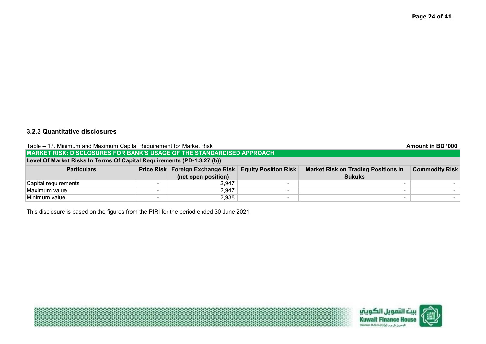# **3.2.3 Quantitative disclosures**

| Table – 17. Minimum and Maximum Capital Requirement for Market Risk |                                                                               |                                  |                             |                                            | Amount in BD '000     |  |  |
|---------------------------------------------------------------------|-------------------------------------------------------------------------------|----------------------------------|-----------------------------|--------------------------------------------|-----------------------|--|--|
|                                                                     | <b>MARKET RISK: DISCLOSURES FOR BANK'S USAGE OF THE STANDARDISED APPROACH</b> |                                  |                             |                                            |                       |  |  |
|                                                                     | Level Of Market Risks In Terms Of Capital Requirements (PD-1.3.27 (b))        |                                  |                             |                                            |                       |  |  |
| <b>Particulars</b>                                                  |                                                                               | Price Risk Foreign Exchange Risk | <b>Equity Position Risk</b> | <b>Market Risk on Trading Positions in</b> | <b>Commodity Risk</b> |  |  |
|                                                                     |                                                                               | (net open position)              |                             | <b>Sukuks</b>                              |                       |  |  |
| Capital requirements                                                | -                                                                             | 2.947                            |                             |                                            |                       |  |  |
| Maximum value                                                       | $\overline{\phantom{0}}$                                                      | 2,947                            |                             |                                            |                       |  |  |
| Minimum value                                                       | -                                                                             | 2,938                            |                             |                                            |                       |  |  |

This disclosure is based on the figures from the PIRI for the period ended 30 June 2021.

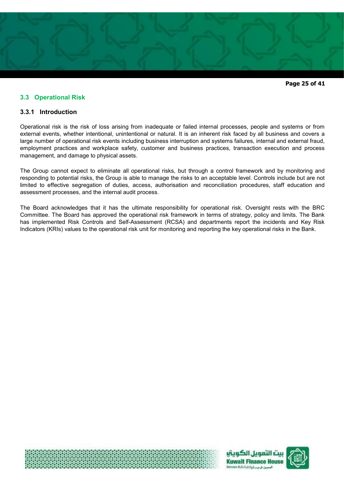

**Page 25 of 41** 

# **3.3 Operational Risk**

# **3.3.1 Introduction**

Operational risk is the risk of loss arising from inadequate or failed internal processes, people and systems or from external events, whether intentional, unintentional or natural. It is an inherent risk faced by all business and covers a large number of operational risk events including business interruption and systems failures, internal and external fraud, employment practices and workplace safety, customer and business practices, transaction execution and process management, and damage to physical assets.

The Group cannot expect to eliminate all operational risks, but through a control framework and by monitoring and responding to potential risks, the Group is able to manage the risks to an acceptable level. Controls include but are not limited to effective segregation of duties, access, authorisation and reconciliation procedures, staff education and assessment processes, and the internal audit process.

The Board acknowledges that it has the ultimate responsibility for operational risk. Oversight rests with the BRC Committee. The Board has approved the operational risk framework in terms of strategy, policy and limits. The Bank has implemented Risk Controls and Self-Assessment (RCSA) and departments report the incidents and Key Risk Indicators (KRIs) values to the operational risk unit for monitoring and reporting the key operational risks in the Bank.





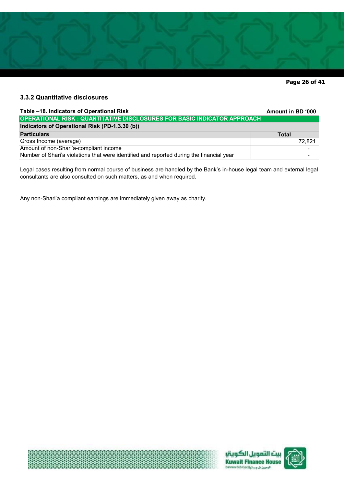

**Page 26 of 41** 

# **3.3.2 Quantitative disclosures**

| Table -18. Indicators of Operational Risk                                                | Amount in BD '000 |
|------------------------------------------------------------------------------------------|-------------------|
| <b>OPERATIONAL RISK: QUANTITATIVE DISCLOSURES FOR BASIC INDICATOR APPROACH</b>           |                   |
| Indicators of Operational Risk (PD-1.3.30 (b))                                           |                   |
| <b>Particulars</b>                                                                       | <b>Total</b>      |
| Gross Income (average)                                                                   | 72.821            |
| Amount of non-Shari'a-compliant income                                                   |                   |
| Number of Shari'a violations that were identified and reported during the financial year |                   |

Legal cases resulting from normal course of business are handled by the Bank's in-house legal team and external legal consultants are also consulted on such matters, as and when required.

Any non-Shari'a compliant earnings are immediately given away as charity.





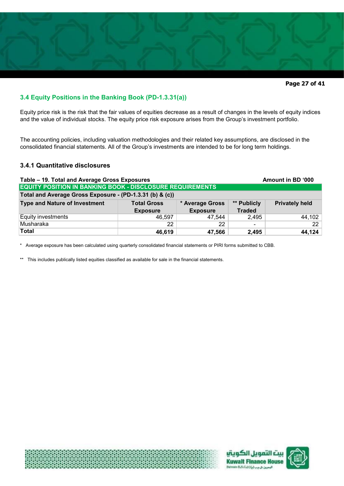

# **3.4 Equity Positions in the Banking Book (PD-1.3.31(a))**

Equity price risk is the risk that the fair values of equities decrease as a result of changes in the levels of equity indices and the value of individual stocks. The equity price risk exposure arises from the Group's investment portfolio.

The accounting policies, including valuation methodologies and their related key assumptions, are disclosed in the consolidated financial statements. All of the Group's investments are intended to be for long term holdings.

# **3.4.1 Quantitative disclosures**

| Table - 19. Total and Average Gross Exposures<br>Amount in BD '000 |                    |                 |                          |                       |  |  |
|--------------------------------------------------------------------|--------------------|-----------------|--------------------------|-----------------------|--|--|
| <b>EQUITY POSITION IN BANKING BOOK - DISCLOSURE REQUIREMENTS</b>   |                    |                 |                          |                       |  |  |
| Total and Average Gross Exposure - (PD-1.3.31 (b) & (c))           |                    |                 |                          |                       |  |  |
| <b>Type and Nature of Investment</b>                               | <b>Total Gross</b> | * Average Gross | ** Publicly              | <b>Privately held</b> |  |  |
|                                                                    | <b>Exposure</b>    | <b>Exposure</b> | <b>Traded</b>            |                       |  |  |
| Equity investments                                                 | 46.597             | 47.544          | 2,495                    | 44,102                |  |  |
| Musharaka                                                          | 22                 | 22              | $\overline{\phantom{a}}$ | 22                    |  |  |
| Total                                                              | 46,619             | 47,566          | 2,495                    | 44,124                |  |  |

Average exposure has been calculated using quarterly consolidated financial statements or PIRI forms submitted to CBB.

\*\* This includes publically listed equities classified as available for sale in the financial statements.





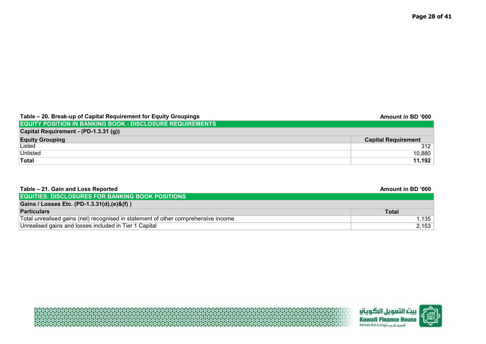| Table – 20. Break-up of Capital Requirement for Equity Groupings | Amount in BD '000          |
|------------------------------------------------------------------|----------------------------|
| <b>EQUITY POSITION IN BANKING BOOK - DISCLOSURE REQUIREMENTS</b> |                            |
| Capital Requirement - (PD-1.3.31 (g))                            |                            |
| <b>Equity Grouping</b>                                           | <b>Capital Requirement</b> |
| Listed                                                           | 312                        |
| Unlisted                                                         | 10.880                     |
| <b>Total</b>                                                     | 11,192                     |

| Table - 21. Gain and Loss Reported                                                 | Amount in BD '000 |
|------------------------------------------------------------------------------------|-------------------|
| <b>EQUITIES: DISCLOSURES FOR BANKING BOOK POSITIONS</b>                            |                   |
| Gains / Losses Etc. (PD-1.3.31(d), (e)&(f))                                        |                   |
| <b>Particulars</b>                                                                 | Total             |
| Total unrealised gains (net) recognised in statement of other comprehensive income | 1.135             |
| Unrealised gains and losses included in Tier 1 Capital                             | 2.153             |

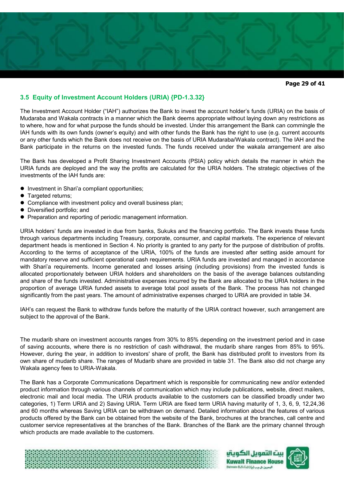# **3.5 Equity of Investment Account Holders (URIA) {PD-1.3.32}**

The Investment Account Holder ("IAH") authorizes the Bank to invest the account holder's funds (URIA) on the basis of Mudaraba and Wakala contracts in a manner which the Bank deems appropriate without laying down any restrictions as to where, how and for what purpose the funds should be invested. Under this arrangement the Bank can commingle the IAH funds with its own funds (owner's equity) and with other funds the Bank has the right to use (e.g. current accounts or any other funds which the Bank does not receive on the basis of URIA Mudaraba/Wakala contract). The IAH and the Bank participate in the returns on the invested funds. The funds received under the wakala arrangement are also

The Bank has developed a Profit Sharing Investment Accounts (PSIA) policy which details the manner in which the URIA funds are deployed and the way the profits are calculated for the URIA holders. The strategic objectives of the investments of the IAH funds are:

- Investment in Shari'a compliant opportunities;
- Targeted returns;
- **Compliance with investment policy and overall business plan;**
- Diversified portfolio; and
- **Preparation and reporting of periodic management information.**

URIA holders' funds are invested in due from banks, Sukuks and the financing portfolio. The Bank invests these funds through various departments including Treasury, corporate, consumer, and capital markets. The experience of relevant department heads is mentioned in Section 4. No priority is granted to any party for the purpose of distribution of profits. According to the terms of acceptance of the URIA, 100% of the funds are invested after setting aside amount for mandatory reserve and sufficient operational cash requirements. URIA funds are invested and managed in accordance with Shari'a requirements. Income generated and losses arising (including provisions) from the invested funds is allocated proportionately between URIA holders and shareholders on the basis of the average balances outstanding and share of the funds invested. Administrative expenses incurred by the Bank are allocated to the URIA holders in the proportion of average URIA funded assets to average total pool assets of the Bank. The process has not changed significantly from the past years. The amount of administrative expenses charged to URIA are provided in table 34.

IAH's can request the Bank to withdraw funds before the maturity of the URIA contract however, such arrangement are subject to the approval of the Bank.

The mudarib share on investment accounts ranges from 30% to 85% depending on the investment period and in case of saving accounts, where there is no restriction of cash withdrawal, the mudarib share ranges from 85% to 95%. However, during the year, in addition to investors' share of profit, the Bank has distributed profit to investors from its own share of mudarib share. The ranges of Mudarib share are provided in table 31. The Bank also did not charge any Wakala agency fees to URIA-Wakala.

The Bank has a Corporate Communications Department which is responsible for communicating new and/or extended product information through various channels of communication which may include publications, website, direct mailers, electronic mail and local media. The URIA products available to the customers can be classified broadly under two categories, 1) Term URIA and 2) Saving URIA. Term URIA are fixed term URIA having maturity of 1, 3, 6, 9, 12,24,36 and 60 months whereas Saving URIA can be withdrawn on demand. Detailed information about the features of various products offered by the Bank can be obtained from the website of the Bank, brochures at the branches, call centre and customer service representatives at the branches of the Bank. Branches of the Bank are the primary channel through which products are made available to the customers.





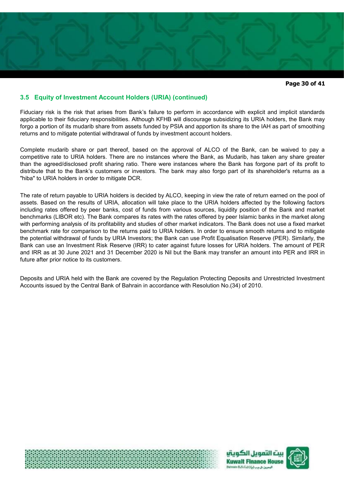

**Page 30 of 41** 

# **3.5 Equity of Investment Account Holders (URIA) (continued)**

Fiduciary risk is the risk that arises from Bank's failure to perform in accordance with explicit and implicit standards applicable to their fiduciary responsibilities. Although KFHB will discourage subsidizing its URIA holders, the Bank may forgo a portion of its mudarib share from assets funded by PSIA and apportion its share to the IAH as part of smoothing returns and to mitigate potential withdrawal of funds by investment account holders.

Complete mudarib share or part thereof, based on the approval of ALCO of the Bank, can be waived to pay a competitive rate to URIA holders. There are no instances where the Bank, as Mudarib, has taken any share greater than the agreed/disclosed profit sharing ratio. There were instances where the Bank has forgone part of its profit to distribute that to the Bank's customers or investors. The bank may also forgo part of its shareholder's returns as a "hiba" to URIA holders in order to mitigate DCR.

The rate of return payable to URIA holders is decided by ALCO, keeping in view the rate of return earned on the pool of assets. Based on the results of URIA, allocation will take place to the URIA holders affected by the following factors including rates offered by peer banks, cost of funds from various sources, liquidity position of the Bank and market benchmarks (LIBOR etc). The Bank compares its rates with the rates offered by peer Islamic banks in the market along with performing analysis of its profitability and studies of other market indicators. The Bank does not use a fixed market benchmark rate for comparison to the returns paid to URIA holders. In order to ensure smooth returns and to mitigate the potential withdrawal of funds by URIA Investors; the Bank can use Profit Equalisation Reserve (PER). Similarly, the Bank can use an Investment Risk Reserve (IRR) to cater against future losses for URIA holders. The amount of PER and IRR as at 30 June 2021 and 31 December 2020 is Nil but the Bank may transfer an amount into PER and IRR in future after prior notice to its customers.

Deposits and URIA held with the Bank are covered by the Regulation Protecting Deposits and Unrestricted Investment Accounts issued by the Central Bank of Bahrain in accordance with Resolution No.(34) of 2010.





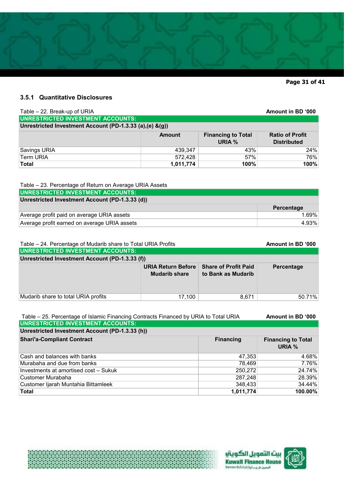

**Page 31 of 41** 

# **3.5.1 Quantitative Disclosures**

| Table - 22. Break-up of URIA                               |               |                                     | Amount in BD '000                            |
|------------------------------------------------------------|---------------|-------------------------------------|----------------------------------------------|
| <b>UNRESTRICTED INVESTMENT ACCOUNTS:</b>                   |               |                                     |                                              |
| Unrestricted Investment Account (PD-1.3.33 (a), (e) & (g)) |               |                                     |                                              |
|                                                            | <b>Amount</b> | <b>Financing to Total</b><br>URIA % | <b>Ratio of Profit</b><br><b>Distributed</b> |
| Savings URIA                                               | 439.347       | 43%                                 | 24%                                          |
| <b>Term URIA</b>                                           | 572,428       | 57%                                 | 76%                                          |
| <b>Total</b>                                               | 1,011,774     | 100%                                | 100%                                         |

# Table – 23. Percentage of Return on Average URIA Assets

| UNRESTRICTED INVESTMENT ACCOUNTS:               |            |
|-------------------------------------------------|------------|
| Unrestricted Investment Account (PD-1.3.33 (d)) |            |
|                                                 | Percentage |
| Average profit paid on average URIA assets      | 1.69%      |
| Average profit earned on average URIA assets    | 4.93%      |

| Table – 24. Percentage of Mudarib share to Total URIA Profits | Amount in BD '000                                 |                                                   |                   |
|---------------------------------------------------------------|---------------------------------------------------|---------------------------------------------------|-------------------|
| <b>UNRESTRICTED INVESTMENT ACCOUNTS:</b>                      |                                                   |                                                   |                   |
| Unrestricted Investment Account (PD-1.3.33 (f))               |                                                   |                                                   |                   |
|                                                               | <b>URIA Return Before</b><br><b>Mudarib share</b> | <b>Share of Profit Paid</b><br>to Bank as Mudarib | <b>Percentage</b> |
| Mudarib share to total URIA profits                           | 17,100                                            | 8.671                                             | 50.71%            |

| Table - 25. Percentage of Islamic Financing Contracts Financed by URIA to Total URIA | Amount in BD '000 |                                     |
|--------------------------------------------------------------------------------------|-------------------|-------------------------------------|
| <b>UNRESTRICTED INVESTMENT ACCOUNTS:</b>                                             |                   |                                     |
| Unrestricted Investment Account (PD-1.3.33 (h))                                      |                   |                                     |
| <b>Shari'a-Compliant Contract</b>                                                    | <b>Financing</b>  | <b>Financing to Total</b><br>URIA % |
| Cash and balances with banks                                                         | 47,353            | 4.68%                               |
| ∣Murabaha and due from banks_                                                        | 78,469            | 7.76%                               |
| Investments at amortised cost - Sukuk                                                | 250,272           | 24.74%                              |
| ∣Customer Murabaha                                                                   | 287,248           | 28.39%                              |
| Customer Ijarah Muntahia Bittamleek                                                  | 348,433           | 34.44%                              |
| Total                                                                                | 1,011,774         | 100.00%                             |





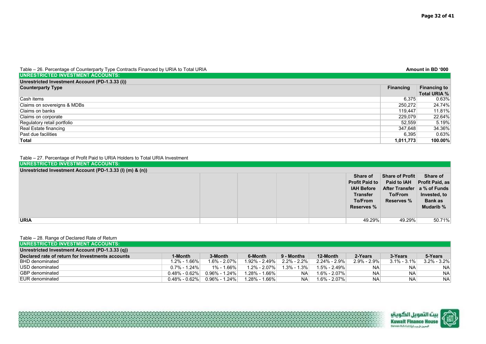| Table – 26. Percentage of Counterparty Type Contracts Financed by URIA to Total URIA |                  | Amount in BD '000   |
|--------------------------------------------------------------------------------------|------------------|---------------------|
| UNRESTRICTED INVESTMENT ACCOUNTS:                                                    |                  |                     |
| Unrestricted Investment Account (PD-1.3.33 (i))                                      |                  |                     |
| <b>Counterparty Type</b>                                                             | <b>Financing</b> | <b>Financing to</b> |
|                                                                                      |                  | <b>Total URIA %</b> |
| Cash items                                                                           | 6.375            | $0.63\%$            |
| Claims on sovereigns & MDBs                                                          | 250,272          | 24.74%              |
| Claims on banks                                                                      | 119.447          | 11.81%              |
| Claims on corporate                                                                  | 229,079          | 22.64%              |
| Regulatory retail portfolio                                                          | 52,559           | 5.19%               |
| Real Estate financing                                                                | 347,648          | 34.36%              |
| Past due facilities                                                                  | 6,395            | 0.63%               |
| Total                                                                                | 1,011,773        | 100.00%             |

#### Table – 27. Percentage of Profit Paid to URIA Holders to Total URIA Investment

| UNRESTRICTED INVESTMENT ACCOUNTS:                         |  |  |                                                                                                           |                                                                                                        |                                                                                   |
|-----------------------------------------------------------|--|--|-----------------------------------------------------------------------------------------------------------|--------------------------------------------------------------------------------------------------------|-----------------------------------------------------------------------------------|
| Unrestricted Investment Account (PD-1.3.33 (I) (m) & (n)) |  |  |                                                                                                           |                                                                                                        |                                                                                   |
|                                                           |  |  | Share of<br><b>Profit Paid to</b><br><b>IAH Before</b><br><b>Transfer</b><br>To/From<br><b>Reserves %</b> | <b>Share of Profit</b><br><b>Paid to IAH</b><br>After Transfer   a % of Funds<br>To/From<br>Reserves % | Share of<br><b>Profit Paid, as</b><br>Invested, to<br><b>Bank as</b><br>Mudarib % |
| <b>URIA</b>                                               |  |  | 49.29%                                                                                                    | 49.29%                                                                                                 | 50.71%                                                                            |

#### Table – 28. Range of Declared Rate of Return

| <b>IUNRESTRICTED INVESTMENT ACCOUNTS:</b>        |                   |                  |                   |                 |                  |                 |                 |                 |
|--------------------------------------------------|-------------------|------------------|-------------------|-----------------|------------------|-----------------|-----------------|-----------------|
| Unrestricted Investment Account (PD-1.3.33 (q))  |                   |                  |                   |                 |                  |                 |                 |                 |
| Declared rate of return for Investments accounts | 1-Month           | 3-Month          | 6-Month           | 9 - Months      | 12-Month         | 2-Years         | 3-Years         | 5-Years         |
| <b>BHD</b> denominated                           | 1.2% - 1.66%      | $1.6\% - 2.07\%$ | $1.92\% - 2.49\%$ | $2.2\% - 2.2\%$ | $2.24\% - 2.9\%$ | $2.9\% - 2.9\%$ | $3.1\% - 3.1\%$ | $3.2\% - 3.2\%$ |
| USD denominated                                  | $0.7\% - 1.24\%$  | 1% - 1.66%       | 1.2% - 2.07%      | $1.3\% - 1.3\%$ | $1.5\% - 2.49\%$ | NA              | NA.             | <b>NA</b>       |
| <b>GBP</b> denominated                           | $0.48\% - 0.62\%$ | $0.96\%$ - 1.24% | 1.28% - 1.66%     | <b>NA</b>       | $1.6\% - 2.07\%$ | <b>NA</b>       | <b>NA</b>       | <b>NA</b>       |
| EUR denominated                                  | $0.48\% - 0.62\%$ | $0.96\%$ - 1.24% | $1.28\% - 1.66\%$ | NA              | $1.6\% - 2.07\%$ | <b>NA</b>       | <b>NA</b>       | <b>NA</b>       |

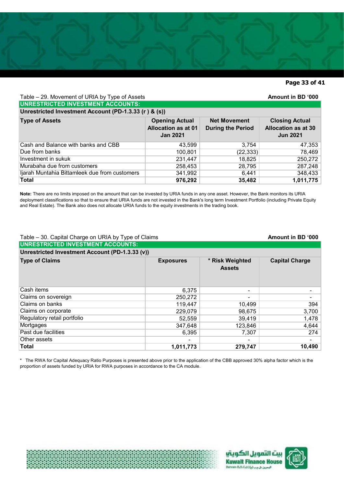# **Page 33 of 41**

| Table – 29. Movement of URIA by Type of Assets<br>Amount in BD '000 |                                                                        |                                                 |                                                                        |  |  |  |  |  |
|---------------------------------------------------------------------|------------------------------------------------------------------------|-------------------------------------------------|------------------------------------------------------------------------|--|--|--|--|--|
|                                                                     | <b>UNRESTRICTED INVESTMENT ACCOUNTS:</b>                               |                                                 |                                                                        |  |  |  |  |  |
| Unrestricted Investment Account (PD-1.3.33 (r) & (s))               |                                                                        |                                                 |                                                                        |  |  |  |  |  |
| <b>Type of Assets</b>                                               | <b>Opening Actual</b><br><b>Allocation as at 01</b><br><b>Jan 2021</b> | <b>Net Movement</b><br><b>During the Period</b> | <b>Closing Actual</b><br><b>Allocation as at 30</b><br><b>Jun 2021</b> |  |  |  |  |  |
| Cash and Balance with banks and CBB                                 | 43,599                                                                 | 3,754                                           | 47,353                                                                 |  |  |  |  |  |
| Due from banks                                                      | 100,801                                                                | (22, 333)                                       | 78,469                                                                 |  |  |  |  |  |
| Investment in sukuk                                                 | 231,447                                                                | 18,825                                          | 250,272                                                                |  |  |  |  |  |
| Murabaha due from customers                                         | 258,453                                                                | 28,795                                          | 287,248                                                                |  |  |  |  |  |
| Ijarah Muntahia Bittamleek due from customers                       | 341,992                                                                | 6,441                                           | 348,433                                                                |  |  |  |  |  |
| <b>Total</b>                                                        | 976,292                                                                | 35,482                                          | 1,011,775                                                              |  |  |  |  |  |

**Note:** There are no limits imposed on the amount that can be invested by URIA funds in any one asset. However, the Bank monitors its URIA deployment classifications so that to ensure that URIA funds are not invested in the Bank's long term Investment Portfolio (including Private Equity and Real Estate). The Bank also does not allocate URIA funds to the equity investments in the trading book.

# Table – 30. Capital Charge on URIA by Type of Claims **Amount in BD '000**

| Table – 30. Capital Charge on UKIA by Type of Claims |                          |                                  | AIIIVUIILIII DU VVV   |
|------------------------------------------------------|--------------------------|----------------------------------|-----------------------|
| <b>UNRESTRICTED INVESTMENT ACCOUNTS:</b>             |                          |                                  |                       |
| Unrestricted Investment Account (PD-1.3.33 (v))      |                          |                                  |                       |
| <b>Type of Claims</b>                                | <b>Exposures</b>         | * Risk Weighted<br><b>Assets</b> | <b>Capital Charge</b> |
| Cash items                                           | 6,375                    |                                  |                       |
| Claims on sovereign                                  | 250,272                  |                                  |                       |
| Claims on banks                                      | 119,447                  | 10,499                           | 394                   |
| Claims on corporate                                  | 229,079                  | 98,675                           | 3,700                 |
| Regulatory retail portfolio                          | 52,559                   | 39,419                           | 1,478                 |
| Mortgages                                            | 347,648                  | 123,846                          | 4,644                 |
| Past due facilities                                  | 6,395                    | 7,307                            | 274                   |
| Other assets                                         | $\overline{\phantom{0}}$ |                                  |                       |
| Total                                                | 1,011,773                | 279,747                          | 10,490                |

\* The RWA for Capital Adequacy Ratio Purposes is presented above prior to the application of the CBB approved 30% alpha factor which is the proportion of assets funded by URIA for RWA purposes in accordance to the CA module.







ويل الكويتي **Kuwait Finance House**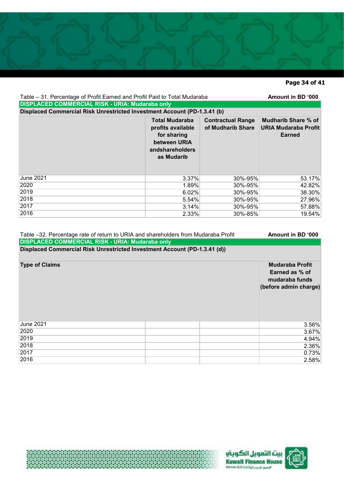# **Page 34 of 41**

| Table – 31. Percentage of Profit Earned and Profit Paid to Total Mudaraba<br><b>DISPLACED COMMERCIAL RISK - URIA: Mudaraba only</b> | Amount in BD '000                                                                                          |                                               |                                                                     |
|-------------------------------------------------------------------------------------------------------------------------------------|------------------------------------------------------------------------------------------------------------|-----------------------------------------------|---------------------------------------------------------------------|
| Displaced Commercial Risk Unrestricted Investment Account (PD-1.3.41 (b)                                                            |                                                                                                            |                                               |                                                                     |
|                                                                                                                                     | <b>Total Mudaraba</b><br>profits available<br>for sharing<br>between URIA<br>andshareholders<br>as Mudarib | <b>Contractual Range</b><br>of Mudharib Share | <b>Mudharib Share % of</b><br><b>URIA Mudaraba Profit</b><br>Earned |
| <b>June 2021</b>                                                                                                                    | 3.37%                                                                                                      | 30%-95%                                       | 53.17%                                                              |
| 2020                                                                                                                                | 1.89%                                                                                                      | 30%-95%                                       | 42.82%                                                              |
| 2019                                                                                                                                | 6.02%                                                                                                      | 30%-95%                                       | 38.30%                                                              |
| 2018                                                                                                                                | 5.54%                                                                                                      | 30%-95%                                       | 27.96%                                                              |
| 2017                                                                                                                                | 3.14%                                                                                                      | 30%-95%                                       | 57.88%                                                              |
| 2016                                                                                                                                | 2.33%                                                                                                      | 30%-85%                                       | 19.54%                                                              |
|                                                                                                                                     |                                                                                                            |                                               |                                                                     |

| Table –32. Percentage rate of return to URIA and shareholders from Mudaraba Profit | Amount in BD '000                                                                   |
|------------------------------------------------------------------------------------|-------------------------------------------------------------------------------------|
| <b>DISPLACED COMMERCIAL RISK - URIA: Mudaraba only</b>                             |                                                                                     |
| Displaced Commercial Risk Unrestricted Investment Account (PD-1.3.41 (d))          |                                                                                     |
| <b>Type of Claims</b>                                                              | <b>Mudaraba Profit</b><br>Earned as % of<br>mudaraba funds<br>(before admin charge) |
| <b>June 2021</b>                                                                   | 3.56%                                                                               |
| 2020                                                                               | 3.67%                                                                               |
| 2019                                                                               | 4.94%                                                                               |
| 2018                                                                               | 2.36%                                                                               |
| 2017                                                                               | 0.73%                                                                               |
| 2016                                                                               |                                                                                     |





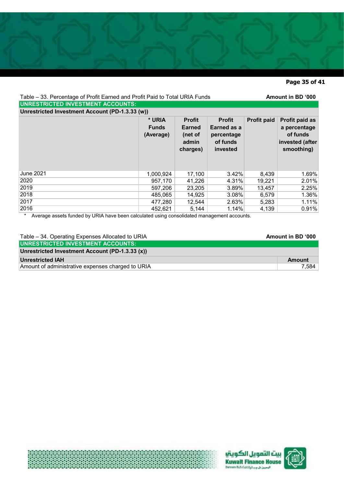# **Page 35 of 41**

| Table - 33. Percentage of Profit Earned and Profit Paid to Total URIA Funds                     |                                     |                                                                |                                                                    |                    | Amount in BD '000                                                           |  |  |
|-------------------------------------------------------------------------------------------------|-------------------------------------|----------------------------------------------------------------|--------------------------------------------------------------------|--------------------|-----------------------------------------------------------------------------|--|--|
| <b>UNRESTRICTED INVESTMENT ACCOUNTS:</b>                                                        |                                     |                                                                |                                                                    |                    |                                                                             |  |  |
| Unrestricted Investment Account (PD-1.3.33 (w))                                                 |                                     |                                                                |                                                                    |                    |                                                                             |  |  |
|                                                                                                 | * URIA<br><b>Funds</b><br>(Average) | <b>Profit</b><br><b>Earned</b><br>(net of<br>admin<br>charges) | <b>Profit</b><br>Earned as a<br>percentage<br>of funds<br>invested | <b>Profit paid</b> | Profit paid as<br>a percentage<br>of funds<br>invested (after<br>smoothing) |  |  |
| <b>June 2021</b>                                                                                | 1,000,924                           | 17,100                                                         | 3.42%                                                              | 8,439              | 1.69%                                                                       |  |  |
| 2020                                                                                            | 957,170                             | 41,226                                                         | 4.31%                                                              | 19,221             | 2.01%                                                                       |  |  |
| 2019                                                                                            | 597,206                             | 23,205                                                         | 3.89%                                                              | 13,457             | 2.25%                                                                       |  |  |
| 2018                                                                                            | 485.065                             | 14,925                                                         | 3.08%                                                              | 6,579              | 1.36%                                                                       |  |  |
| 2017                                                                                            | 477,280                             | 12,544                                                         | 2.63%                                                              | 5,283              | 1.11%                                                                       |  |  |
| 2016<br>Average assets funded by UPIA hove heap coloured using consolidated menogement asseunts | 452.621                             | 5,144                                                          | 1.14%                                                              | 4,139              | 0.91%                                                                       |  |  |

Average assets funded by URIA have been calculated using consolidated management accounts.

| Table – 34. Operating Expenses Allocated to URIA  | Amount in BD '000 |
|---------------------------------------------------|-------------------|
| UNRESTRICTED INVESTMENT ACCOUNTS:                 |                   |
| Unrestricted Investment Account (PD-1.3.33 (x))   |                   |
| <b>Unrestricted IAH</b>                           | <b>Amount</b>     |
| Amount of administrative expenses charged to URIA | 7.584             |





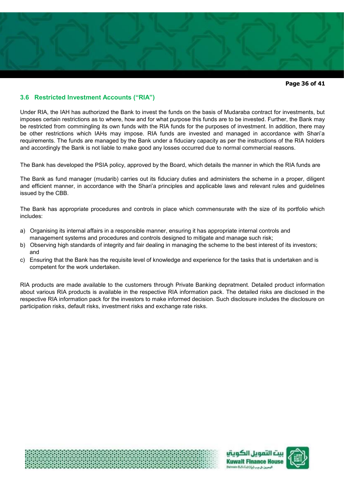

**Page 36 of 41** 

# **3.6 Restricted Investment Accounts ("RIA")**

Under RIA, the IAH has authorized the Bank to invest the funds on the basis of Mudaraba contract for investments, but imposes certain restrictions as to where, how and for what purpose this funds are to be invested. Further, the Bank may be restricted from commingling its own funds with the RIA funds for the purposes of investment. In addition, there may be other restrictions which IAHs may impose. RIA funds are invested and managed in accordance with Shari'a requirements. The funds are managed by the Bank under a fiduciary capacity as per the instructions of the RIA holders and accordingly the Bank is not liable to make good any losses occurred due to normal commercial reasons.

The Bank has developed the PSIA policy, approved by the Board, which details the manner in which the RIA funds are

The Bank as fund manager (mudarib) carries out its fiduciary duties and administers the scheme in a proper, diligent and efficient manner, in accordance with the Shari'a principles and applicable laws and relevant rules and guidelines issued by the CBB.

The Bank has appropriate procedures and controls in place which commensurate with the size of its portfolio which includes:

- a) Organising its internal affairs in a responsible manner, ensuring it has appropriate internal controls and management systems and procedures and controls designed to mitigate and manage such risk;
- b) Observing high standards of integrity and fair dealing in managing the scheme to the best interest of its investors; and
- c) Ensuring that the Bank has the requisite level of knowledge and experience for the tasks that is undertaken and is competent for the work undertaken.

RIA products are made available to the customers through Private Banking depratment. Detailed product information about various RIA products is available in the respective RIA information pack. The detailed risks are disclosed in the respective RIA information pack for the investors to make informed decision. Such disclosure includes the disclosure on participation risks, default risks, investment risks and exchange rate risks.





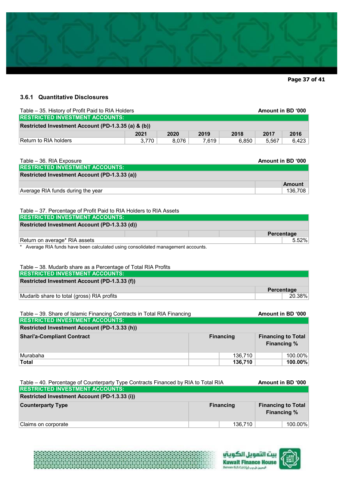

**Page 37 of 41** 

# **3.6.1 Quantitative Disclosures**

| Table – 35. History of Profit Paid to RIA Holders   | Amount in BD '000 |       |       |       |       |       |
|-----------------------------------------------------|-------------------|-------|-------|-------|-------|-------|
| <b>RESTRICTED INVESTMENT ACCOUNTS:</b>              |                   |       |       |       |       |       |
| Restricted Investment Account (PD-1.3.35 (a) & (b)) |                   |       |       |       |       |       |
|                                                     | 2021              | 2020  | 2019  | 2018  | 2017  | 2016  |
| Return to RIA holders                               | 3.770             | 8.076 | 7.619 | 6.850 | 5.567 | 6.423 |

| Table – 36. RIA Exposure                      | Amount in BD '000 |
|-----------------------------------------------|-------------------|
| <b>RESTRICTED INVESTMENT ACCOUNTS:</b>        |                   |
| Restricted Investment Account (PD-1.3.33 (a)) |                   |
|                                               | <b>Amount</b>     |
| Average RIA funds during the year             | 136.708           |

#### Table – 37. Percentage of Profit Paid to RIA Holders to RIA Assets

| <b>RESTRICTED INVESTMENT ACCOUNTS:</b>                                         |  |            |
|--------------------------------------------------------------------------------|--|------------|
| Restricted Investment Account (PD-1.3.33 (d))                                  |  |            |
|                                                                                |  | Percentage |
| Return on average* RIA assets                                                  |  | $5.52\%$   |
| Average DIA fundo hove been colculated using consolidated menogement econunter |  |            |

Average RIA funds have been calculated using consolidated management accounts.

# Table – 38. Mudarib share as a Percentage of Total RIA Profits

| <b>IRESTRICTED INVESTMENT ACCOUNTS:</b>       |            |
|-----------------------------------------------|------------|
| Restricted Investment Account (PD-1.3.33 (f)) |            |
|                                               | Percentage |
| Mudarib share to total (gross) RIA profits    | 20.38%     |

| Table – 39. Share of Islamic Financing Contracts in Total RIA Financing |                  | Amount in BD '000 |                                                 |         |
|-------------------------------------------------------------------------|------------------|-------------------|-------------------------------------------------|---------|
| <b>RESTRICTED INVESTMENT ACCOUNTS:</b>                                  |                  |                   |                                                 |         |
| Restricted Investment Account (PD-1.3.33 (h))                           |                  |                   |                                                 |         |
| <b>Shari'a-Compliant Contract</b>                                       | <b>Financing</b> |                   | <b>Financing to Total</b><br><b>Financing %</b> |         |
| Murabaha                                                                |                  | 136.710           |                                                 | 100.00% |
| Total                                                                   |                  | 136,710           |                                                 | 100.00% |

| Table - 40. Percentage of Counterparty Type Contracts Financed by RIA to Total RIA |  |         |                                                 | Amount in BD '000 |
|------------------------------------------------------------------------------------|--|---------|-------------------------------------------------|-------------------|
| <b>RESTRICTED INVESTMENT ACCOUNTS:</b>                                             |  |         |                                                 |                   |
| Restricted Investment Account (PD-1.3.33 (i))                                      |  |         |                                                 |                   |
| <b>Counterparty Type</b><br><b>Financing</b>                                       |  |         | <b>Financing to Total</b><br><b>Financing %</b> |                   |
| Claims on corporate                                                                |  | 136,710 |                                                 | 100.00%           |



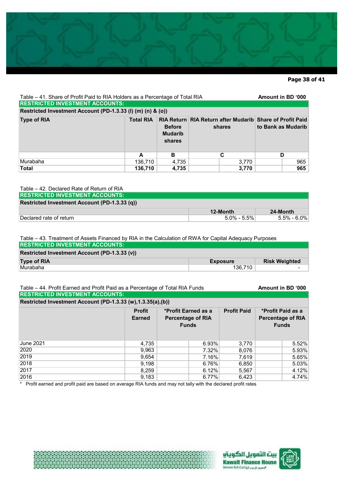

### **Page 38 of 41**

| Table – 41. Share of Profit Paid to RIA Holders as a Percentage of Total RIA<br><b>RESTRICTED INVESTMENT ACCOUNTS:</b> |                  |                                           |                                                                           |       | Amount in BD '000  |     |
|------------------------------------------------------------------------------------------------------------------------|------------------|-------------------------------------------|---------------------------------------------------------------------------|-------|--------------------|-----|
| Restricted Investment Account (PD-1.3.33 (I) (m) (n) & (o))                                                            |                  |                                           |                                                                           |       |                    |     |
| <b>Type of RIA</b>                                                                                                     | <b>Total RIA</b> | <b>Before</b><br><b>Mudarib</b><br>shares | <b>RIA Return RIA Return after Mudarib Share of Profit Paid</b><br>shares |       | to Bank as Mudarib |     |
|                                                                                                                        | A                | в                                         |                                                                           | C     | D                  |     |
| Murabaha                                                                                                               | 136,710          | 4,735                                     |                                                                           | 3,770 |                    | 965 |
| <b>Total</b>                                                                                                           | 136,710          | 4,735                                     |                                                                           | 3,770 |                    | 965 |

#### Table – 42. Declared Rate of Return of RIA

| <b>RESTRICTED INVESTMENT ACCOUNTS:</b>        |                 |                     |
|-----------------------------------------------|-----------------|---------------------|
| Restricted Investment Account (PD-1.3.33 (q)) |                 |                     |
|                                               | 12-Month        | 24-Month            |
| Declared rate of return                       | $5.0\% - 5.5\%$ | $5.5\%$ - $6.0\%$ . |

#### Table – 43. Treatment of Assets Financed by RIA in the Calculation of RWA for Capital Adequacy Purposes **RESTRICTED INVESTMENT ACCOUNTS:**

| Restricted Investment Account (PD-1.3.33 (v)) |                 |                      |  |  |  |
|-----------------------------------------------|-----------------|----------------------|--|--|--|
| <b>Type of RIA</b>                            | <b>Exposure</b> | <b>Risk Weighted</b> |  |  |  |
| ∣Murabaha                                     | 136.710         |                      |  |  |  |

### Table – 44. Profit Earned and Profit Paid as a Percentage of Total RIA Funds **Amount in BD '000 RESTRICTED INVESTMENT ACCOUNTS:**

| Restricted Investment Account (PD-1.3.33 (w), 1.3.35(a), (b)) |                                |                                                                 |                    |                                                               |  |  |  |  |
|---------------------------------------------------------------|--------------------------------|-----------------------------------------------------------------|--------------------|---------------------------------------------------------------|--|--|--|--|
|                                                               | <b>Profit</b><br><b>Earned</b> | *Profit Earned as a<br><b>Percentage of RIA</b><br><b>Funds</b> | <b>Profit Paid</b> | *Profit Paid as a<br><b>Percentage of RIA</b><br><b>Funds</b> |  |  |  |  |
| June 2021                                                     | 4,735                          | 6.93%                                                           | 3,770              | 5.52%                                                         |  |  |  |  |
| 2020                                                          | 9,963                          | 7.32%                                                           | 8,076              | 5.93%                                                         |  |  |  |  |
| 2019                                                          | 9,654                          | 7.16%                                                           | 7,619              | 5.65%                                                         |  |  |  |  |
| 2018                                                          | 9,198                          | 6.76%                                                           | 6,850              | 5.03%                                                         |  |  |  |  |
| 2017                                                          | 8,259                          | 6.12%                                                           | 5,567              | 4.12%                                                         |  |  |  |  |
| 2016                                                          | 9,183                          | 6.77%                                                           | 6,423              | 4.74%                                                         |  |  |  |  |

\* Profit earned and profit paid are based on average RIA funds and may not tally with the declared profit rates



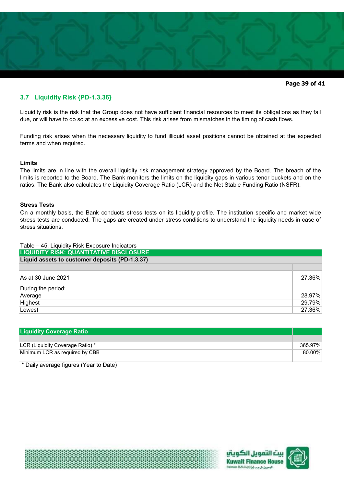

**Page 39 of 41** 

# **3.7 Liquidity Risk {PD-1.3.36}**

Liquidity risk is the risk that the Group does not have sufficient financial resources to meet its obligations as they fall due, or will have to do so at an excessive cost. This risk arises from mismatches in the timing of cash flows.

Funding risk arises when the necessary liquidity to fund illiquid asset positions cannot be obtained at the expected terms and when required.

# **Limits**

The limits are in line with the overall liquidity risk management strategy approved by the Board. The breach of the limits is reported to the Board. The Bank monitors the limits on the liquidity gaps in various tenor buckets and on the ratios. The Bank also calculates the Liquidity Coverage Ratio (LCR) and the Net Stable Funding Ratio (NSFR).

# **Stress Tests**

On a monthly basis, the Bank conducts stress tests on its liquidity profile. The institution specific and market wide stress tests are conducted. The gaps are created under stress conditions to understand the liquidity needs in case of stress situations.

| Table - 45. Liquidity Risk Exposure Indicators |        |
|------------------------------------------------|--------|
| <b>LIQUIDITY RISK: QUANTITATIVE DISCLOSURE</b> |        |
| Liquid assets to customer deposits (PD-1.3.37) |        |
|                                                |        |
| As at 30 June 2021                             | 27.36% |
| During the period:                             |        |
| Average                                        | 28.97% |
| Highest                                        | 29.79% |
| Lowest                                         | 27.36% |

| <b>Liquidity Coverage Ratio</b>  |         |
|----------------------------------|---------|
|                                  |         |
| LCR (Liquidity Coverage Ratio) * | 365.97% |
| Minimum LCR as required by CBB   | 80.00%  |

\* Daily average figures (Year to Date)





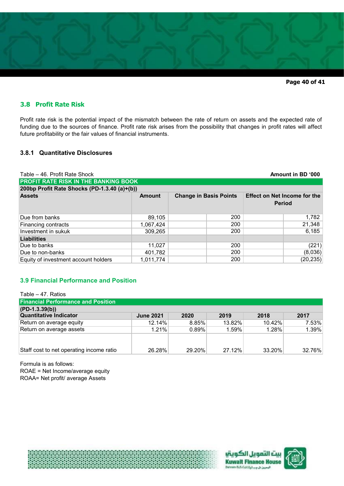

**Page 40 of 41** 

# **3.8 Profit Rate Risk**

Profit rate risk is the potential impact of the mismatch between the rate of return on assets and the expected rate of funding due to the sources of finance. Profit rate risk arises from the possibility that changes in profit rates will affect future profitability or the fair values of financial instruments.

# **3.8.1 Quantitative Disclosures**

| Table – 46. Profit Rate Shock<br>Amount in BD '000 |               |                               |     |                                                      |           |
|----------------------------------------------------|---------------|-------------------------------|-----|------------------------------------------------------|-----------|
| <b>PROFIT RATE RISK IN THE BANKING BOOK</b>        |               |                               |     |                                                      |           |
| 200bp Profit Rate Shocks (PD-1.3.40 (a)+(b))       |               |                               |     |                                                      |           |
| <b>Assets</b>                                      | <b>Amount</b> | <b>Change in Basis Points</b> |     | <b>Effect on Net Income for the</b><br><b>Period</b> |           |
| Due from banks                                     | 89,105        |                               | 200 |                                                      | 1,782     |
| Financing contracts                                | 1,067,424     |                               | 200 |                                                      | 21,348    |
| Investment in sukuk                                | 309,265       |                               | 200 |                                                      | 6,185     |
| Liabilities                                        |               |                               |     |                                                      |           |
| Due to banks                                       | 11,027        |                               | 200 |                                                      | (221)     |
| Due to non-banks                                   | 401,782       |                               | 200 |                                                      | (8,036)   |
| Equity of investment account holders               | 1,011,774     |                               | 200 |                                                      | (20, 235) |

# **3.9 Financial Performance and Position**

| Table – 47. Ratios                        |                  |          |        |           |        |
|-------------------------------------------|------------------|----------|--------|-----------|--------|
| <b>Financial Performance and Position</b> |                  |          |        |           |        |
| $(PD-1.3.39(b))$                          |                  |          |        |           |        |
| <b>Quantitative Indicator</b>             | <b>June 2021</b> | 2020     | 2019   | 2018      | 2017   |
| Return on average equity                  | 12.14%           | $8.85\%$ | 13.82% | 10.42%    | 7.53%  |
| Return on average assets                  | 1.21%            | $0.89\%$ | 1.59%  | 1.28%     | 1.39%  |
|                                           |                  |          |        |           |        |
|                                           |                  |          |        |           |        |
| Staff cost to net operating income ratio  | 26.28%           | 29.20%   | 27.12% | $33.20\%$ | 32.76% |

Formula is as follows: ROAE = Net Income/average equity ROAA= Net profit/ average Assets